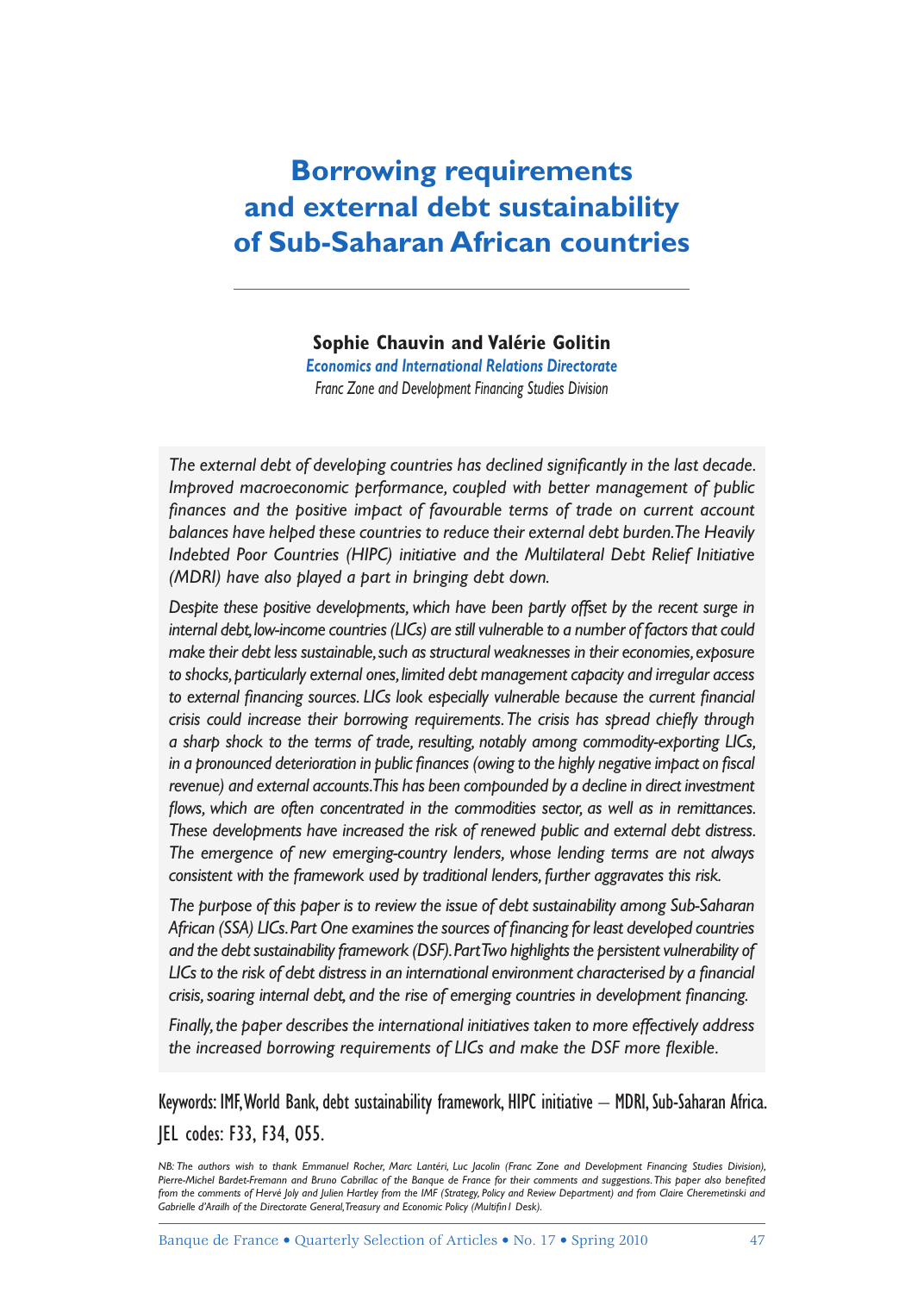# **Borrowing requirements and external debt sustainability of Sub-Saharan African countries**

**Sophie Chauvin and Valérie Golitin**

*Economics and International Relations Directorate Franc Zone and Development Financing Studies Division*

The external debt of developing countries has declined significantly in the last decade. *Improved macroeconomic performance, coupled with better management of public*  finances and the positive impact of favourable terms of trade on current account *balances have helped these countries to reduce their external debt burden. The Heavily Indebted Poor Countries (HIPC) initiative and the Multilateral Debt Relief Initiative (MDRI) have also played a part in bringing debt down.*

*Despite these positive developments, which have been partly offset by the recent surge in internal debt, low-income countries (LICs) are still vulnerable to a number of factors that could make their debt less sustainable, such as structural weaknesses in their economies, exposure to shocks, particularly external ones, limited debt management capacity and irregular access*  to external financing sources. LICs look especially vulnerable because the current financial crisis could increase their borrowing requirements. The crisis has spread chiefly through *a sharp shock to the terms of trade, resulting, notably among commodity-exporting LICs,*  in a pronounced deterioration in public finances (owing to the highly negative impact on fiscal *revenue) and external accounts. This has been compounded by a decline in direct investment*  flows, which are often concentrated in the commodities sector, as well as in remittances. *These developments have increased the risk of renewed public and external debt distress. The emergence of new emerging-country lenders, whose lending terms are not always consistent with the framework used by traditional lenders, further aggravates this risk.*

*The purpose of this paper is to review the issue of debt sustainability among Sub-Saharan*  African (SSA) LICs. Part One examines the sources of financing for least developed countries *and the debt sustainability framework (DSF). Part Two highlights the persistent vulnerability of*  LICs to the risk of debt distress in an international environment characterised by a financial crisis, soaring internal debt, and the rise of emerging countries in development financing.

*Finally, the paper describes the international initiatives taken to more effectively address*  the increased borrowing requirements of LICs and make the DSF more flexible.

Keywords: IMF, World Bank, debt sustainability framework, HIPC initiative – MDRI, Sub-Saharan Africa. JEL codes: F33, F34, O55.

*NB: The authors wish to thank Emmanuel Rocher, Marc Lantéri, Luc Jacolin (Franc Zone and Development Financing Studies Division),* Pierre-Michel Bardet-Fremann and Bruno Cabrillac of the Banque de France for their comments and suggestions. This paper also benefited from the comments of Hervé Joly and Julien Hartley from the IMF (Strategy, Policy and Review Department) and from Claire Cheremetinski and Gabrielle d'Arailh of the Directorate General, Treasury and Economic Policy (Multifin I Desk).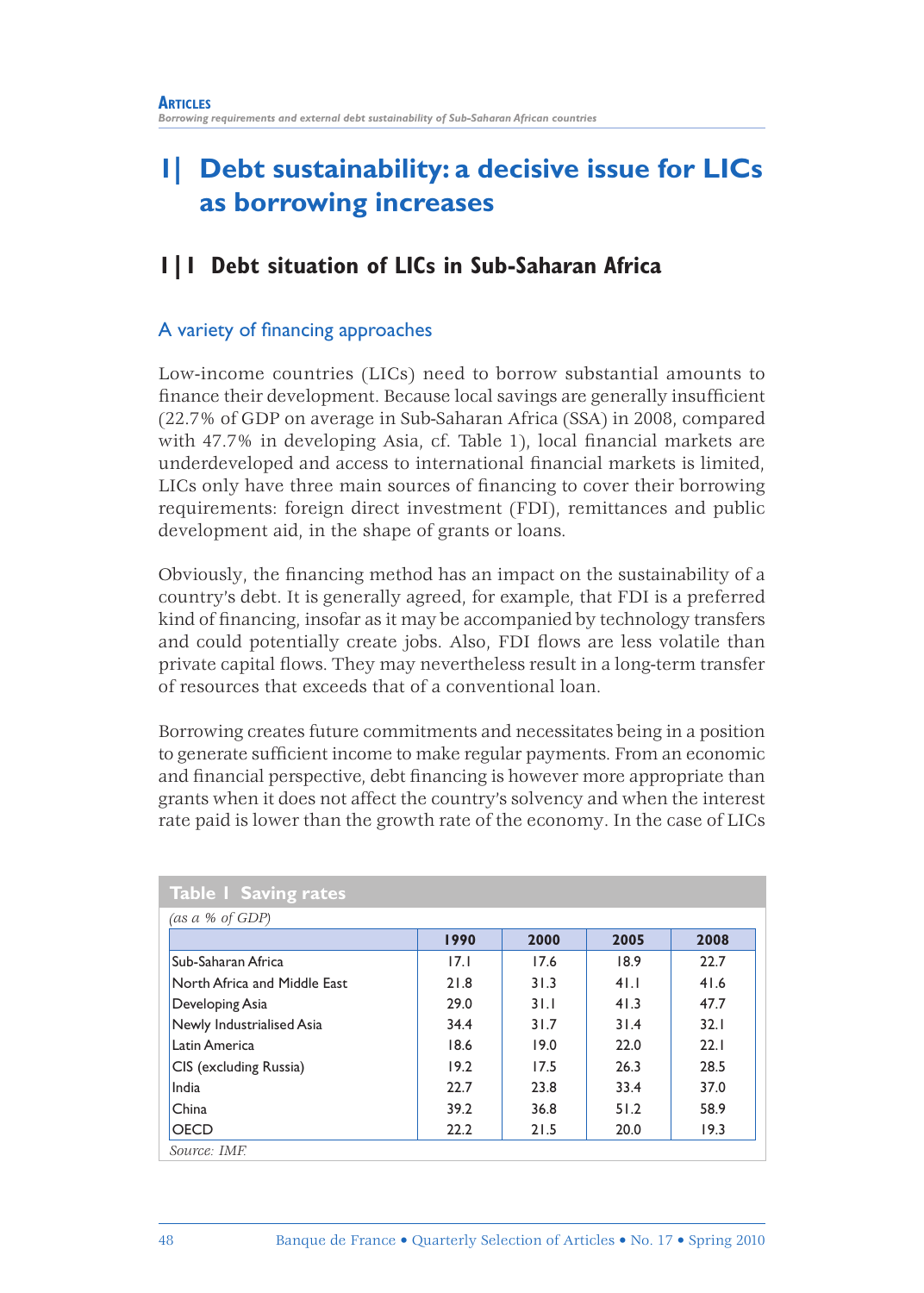# **1| Debt sustainability: a decisive issue for LICs as borrowing increases**

# **1|1 Debt situation of LICs in Sub-Saharan Africa**

## A variety of financing approaches

Low-income countries (LICs) need to borrow substantial amounts to finance their development. Because local savings are generally insufficient (22.7% of GDP on average in Sub-Saharan Africa (SSA) in 2008, compared with  $47.7\%$  in developing Asia, cf. Table 1), local financial markets are underdeveloped and access to international financial markets is limited, LICs only have three main sources of financing to cover their borrowing requirements: foreign direct investment (FDI), remittances and public development aid, in the shape of grants or loans.

Obviously, the financing method has an impact on the sustainability of a country's debt. It is generally agreed, for example, that FDI is a preferred kind of financing, insofar as it may be accompanied by technology transfers and could potentially create jobs. Also, FDI flows are less volatile than private capital flows. They may nevertheless result in a long-term transfer of resources that exceeds that of a conventional loan.

Borrowing creates future commitments and necessitates being in a position to generate sufficient income to make regular payments. From an economic and financial perspective, debt financing is however more appropriate than grants when it does not affect the country's solvency and when the interest rate paid is lower than the growth rate of the economy. In the case of LICs

|                              | 1990 | 2000 | 2005 | 2008 |
|------------------------------|------|------|------|------|
| Sub-Saharan Africa           | 17.1 | 17.6 | 18.9 | 22.7 |
| North Africa and Middle East | 21.8 | 31.3 | 41.1 | 41.6 |
| Developing Asia              | 29.0 | 31.1 | 41.3 | 47.7 |
| Newly Industrialised Asia    | 34.4 | 31.7 | 31.4 | 32.1 |
| Latin America                | 18.6 | 19.0 | 22.0 | 22.1 |
| CIS (excluding Russia)       | 19.2 | 17.5 | 26.3 | 28.5 |
| India                        | 22.7 | 23.8 | 33.4 | 37.0 |
| China                        | 39.2 | 36.8 | 51.2 | 58.9 |
| <b>OECD</b>                  | 22.2 | 21.5 | 20.0 | 19.3 |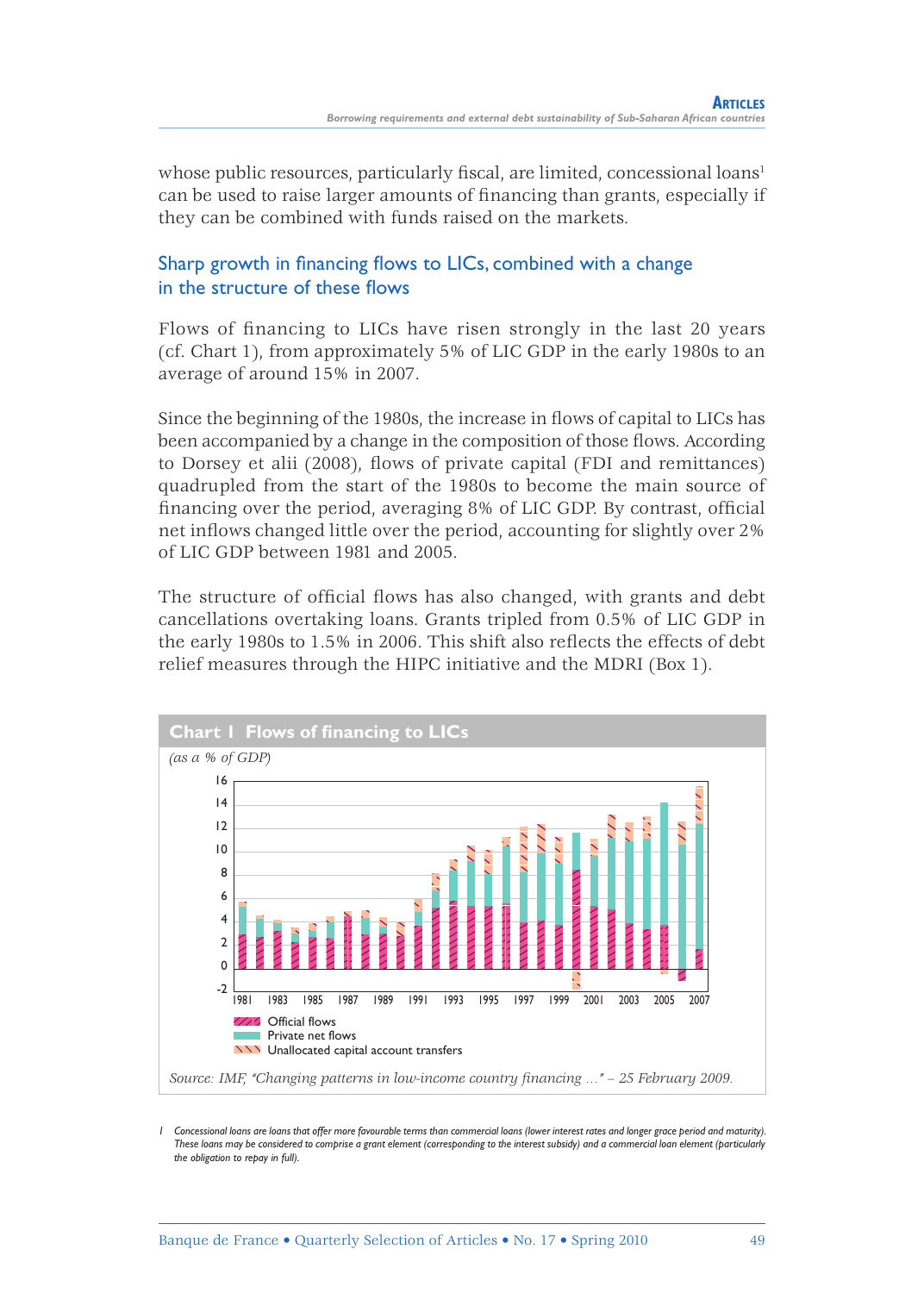whose public resources, particularly fiscal, are limited, concessional loans<sup>1</sup> can be used to raise larger amounts of financing than grants, especially if they can be combined with funds raised on the markets.

## Sharp growth in financing flows to LICs, combined with a change in the structure of these flows

Flows of financing to LICs have risen strongly in the last 20 years (cf. Chart 1), from approximately 5% of LIC GDP in the early 1980s to an average of around 15% in 2007.

Since the beginning of the 1980s, the increase in flows of capital to LICs has been accompanied by a change in the composition of those flows. According to Dorsey et alii (2008), flows of private capital (FDI and remittances) quadrupled from the start of the 1980s to become the main source of financing over the period, averaging 8% of LIC GDP. By contrast, official net inflows changed little over the period, accounting for slightly over 2% of LIC GDP between 1981 and 2005.

The structure of official flows has also changed, with grants and debt cancellations overtaking loans. Grants tripled from 0.5% of LIC GDP in the early 1980s to 1.5% in 2006. This shift also reflects the effects of debt relief measures through the HIPC initiative and the MDRI (Box 1).



*1 Concessional loans are loans that offer more favourable terms than commercial loans (lower interest rates and longer grace period and maturity). These loans may be considered to comprise a grant element (corresponding to the interest subsidy) and a commercial loan element (particularly the obligation to repay in full).*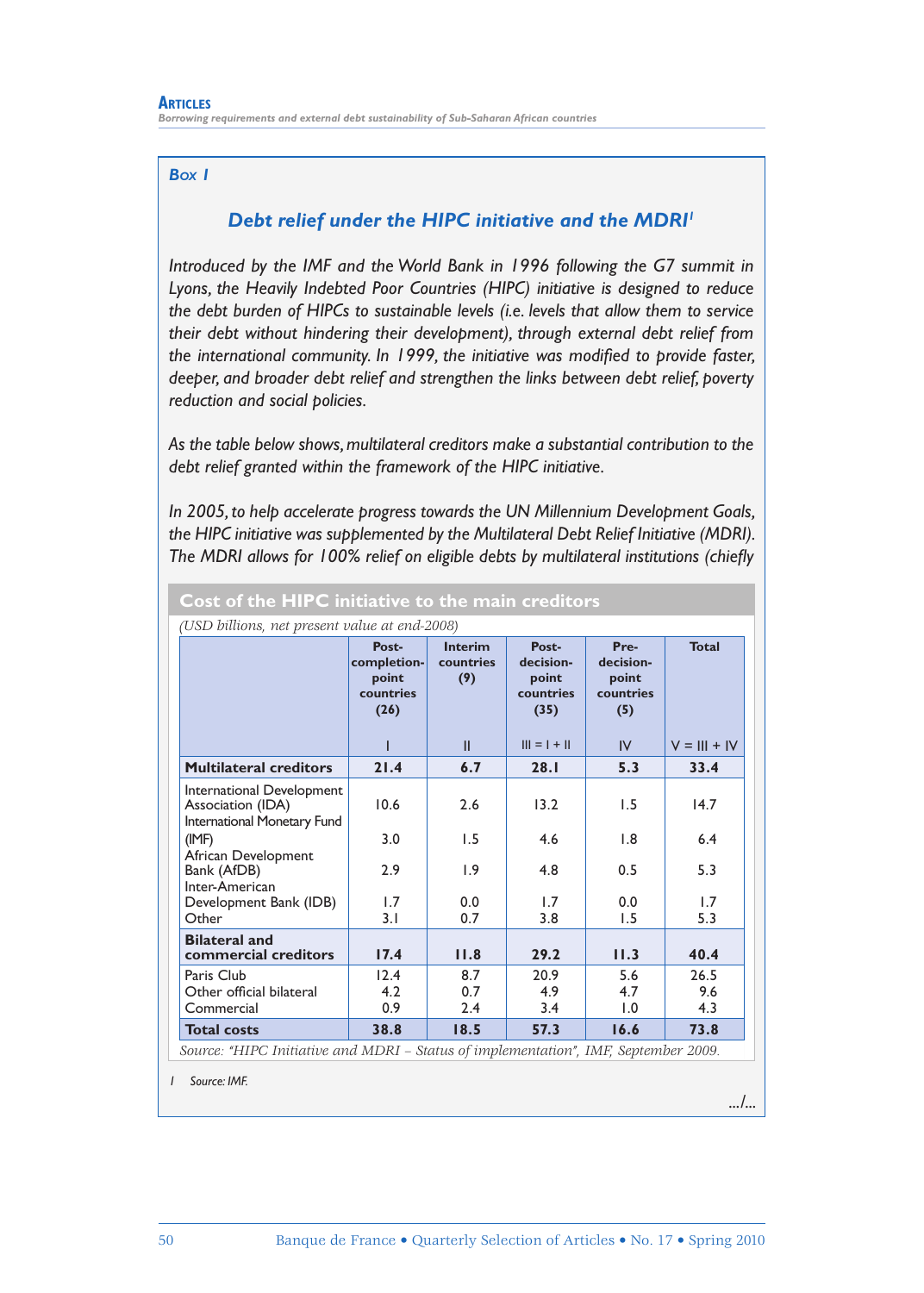#### *BOX 1*

#### *Debt relief under the HIPC initiative and the MDRI1*

*Introduced by the IMF and the World Bank in 1996 following the G7 summit in Lyons, the Heavily Indebted Poor Countries (HIPC) initiative is designed to reduce the debt burden of HIPCs to sustainable levels (i.e. levels that allow them to service their debt without hindering their development), through external debt relief from*  the international community. In 1999, the initiative was modified to provide faster, *deeper, and broader debt relief and strengthen the links between debt relief, poverty reduction and social policies.*

*As the table below shows, multilateral creditors make a substantial contribution to the debt relief granted within the framework of the HIPC initiative.*

*In 2005, to help accelerate progress towards the UN Millennium Development Goals, the HIPC initiative was supplemented by the Multilateral Debt Relief Initiative (MDRI).*  The MDRI allows for 100% relief on eligible debts by multilateral institutions (chiefly

|                                                                                     | Post-<br>completion-<br>point<br>countries<br>(26) | <b>Interim</b><br>countries<br>(9) | Post-<br>decision-<br>point<br>countries<br>(35) | Pre-<br>decision-<br>point<br>countries<br>(5) | <b>Total</b>   |  |
|-------------------------------------------------------------------------------------|----------------------------------------------------|------------------------------------|--------------------------------------------------|------------------------------------------------|----------------|--|
|                                                                                     |                                                    | Ш                                  | $    =   +   $                                   | IV                                             | $V =     +  V$ |  |
| <b>Multilateral creditors</b>                                                       | 21.4                                               | 6.7                                | 28.1                                             | 5.3                                            | 33.4           |  |
| International Development<br>Association (IDA)<br>International Monetary Fund       | 10.6                                               | 2.6                                | 13.2                                             | 1.5                                            | 14.7           |  |
| (IMF)                                                                               | 3.0                                                | 1.5                                | 4.6                                              | 1.8                                            | 6.4            |  |
| African Development<br>Bank (AfDB)<br>Inter-American                                | 2.9                                                | 1.9                                | 4.8                                              | 0.5                                            | 5.3            |  |
| Development Bank (IDB)                                                              | 1.7                                                | 0.0                                | 1.7                                              | 0.0                                            | 1.7            |  |
| Other                                                                               | 3.1                                                | 0.7                                | 3.8                                              | 1.5                                            | 5.3            |  |
| <b>Bilateral and</b><br>commercial creditors                                        | 17.4                                               | 11.8                               | 29.2                                             | 11.3                                           | 40.4           |  |
| Paris Club                                                                          | 12.4                                               | 8.7                                | 20.9                                             | 5.6                                            | 26.5           |  |
| Other official bilateral                                                            | 4.2                                                | 0.7                                | 4.9                                              | 4.7                                            | 9.6            |  |
| Commercial                                                                          | 0.9                                                | 2.4                                | 3.4                                              | 1.0                                            | 4.3            |  |
| <b>Total costs</b>                                                                  | 38.8                                               | 18.5                               | 57.3                                             | 16.6                                           | 73.8           |  |
| Source: "HIPC Initiative and MDRI – Status of implementation", IMF, September 2009. |                                                    |                                    |                                                  |                                                |                |  |

#### **Cost of the HIPC initiative to the main creditors**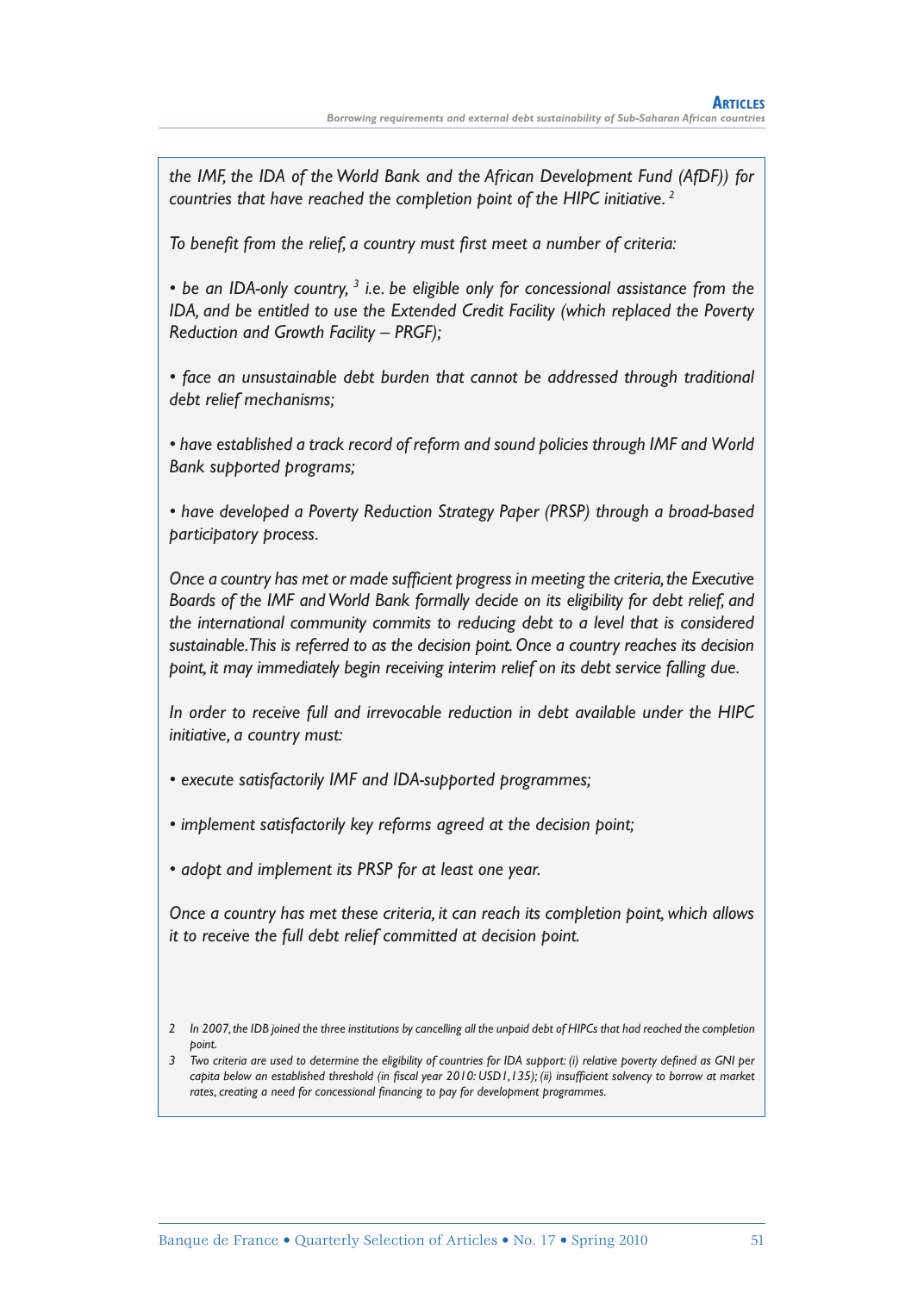*the IMF, the IDA of the World Bank and the African Development Fund (AfDF)) for countries that have reached the completion point of the HIPC initiative. 2*

To benefit from the relief, a country must first meet a number of criteria:

• be an IDA-only country, <sup>3</sup> i.e. be eligible only for concessional assistance from the *IDA, and be entitled to use the Extended Credit Facility (which replaced the Poverty Reduction and Growth Facility – PRGF);*

*• face an unsustainable debt burden that cannot be addressed through traditional debt relief mechanisms;*

*• have established a track record of reform and sound policies through IMF and World Bank supported programs;*

*• have developed a Poverty Reduction Strategy Paper (PRSP) through a broad-based participatory process.*

Once a country has met or made sufficient progress in meeting the criteria, the Executive *Boards of the IMF and World Bank formally decide on its eligibility for debt relief, and the international community commits to reducing debt to a level that is considered sustainable. This is referred to as the decision point. Once a country reaches its decision point, it may immediately begin receiving interim relief on its debt service falling due.*

*In order to receive full and irrevocable reduction in debt available under the HIPC initiative, a country must:*

*• execute satisfactorily IMF and IDA-supported programmes;*

- *implement satisfactorily key reforms agreed at the decision point;*
- *adopt and implement its PRSP for at least one year.*

*Once a country has met these criteria, it can reach its completion point, which allows it to receive the full debt relief committed at decision point.*

*<sup>2</sup> In 2007, the IDB joined the three institutions by cancelling all the unpaid debt of HIPCs that had reached the completion point.*

<sup>&</sup>lt;sup>3</sup> Two criteria are used to determine the eligibility of countries for IDA support: (i) relative poverty defined as GNI per *capita below an established threshold (in fiscal year 2010: USD1,135); (ii) insufficient solvency to borrow at market* rates, creating a need for concessional financing to pay for development programmes.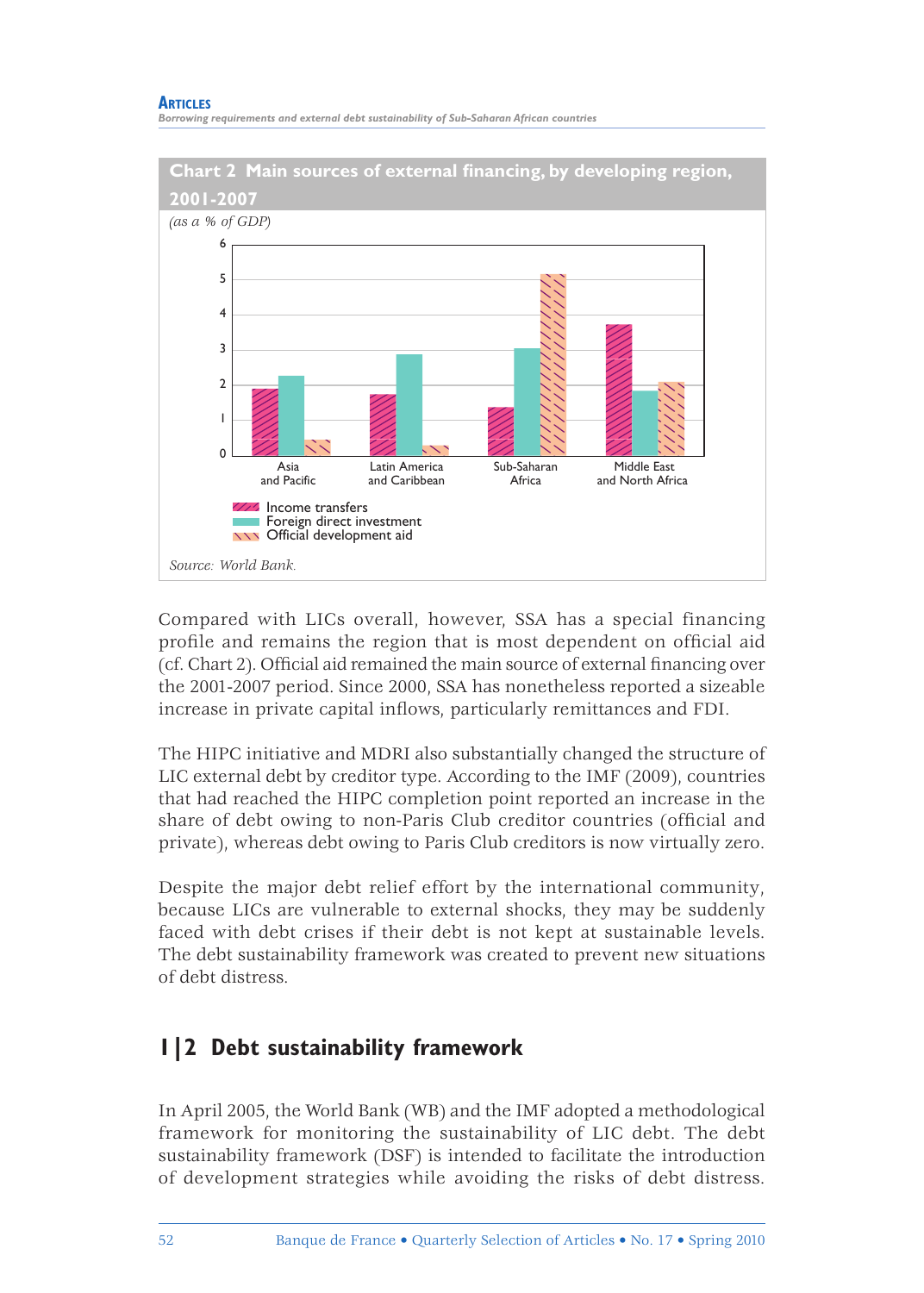#### **ARTICLES**

*Borrowing requirements and external debt sustainability of Sub-Saharan African countries*



Compared with LICs overall, however, SSA has a special financing profile and remains the region that is most dependent on official aid (cf. Chart 2). Official aid remained the main source of external financing over the 2001-2007 period. Since 2000, SSA has nonetheless reported a sizeable increase in private capital inflows, particularly remittances and FDI.

The HIPC initiative and MDRI also substantially changed the structure of LIC external debt by creditor type. According to the IMF (2009), countries that had reached the HIPC completion point reported an increase in the share of debt owing to non-Paris Club creditor countries (official and private), whereas debt owing to Paris Club creditors is now virtually zero.

Despite the major debt relief effort by the international community, because LICs are vulnerable to external shocks, they may be suddenly faced with debt crises if their debt is not kept at sustainable levels. The debt sustainability framework was created to prevent new situations of debt distress.

# **1|2 Debt sustainability framework**

In April 2005, the World Bank (WB) and the IMF adopted a methodological framework for monitoring the sustainability of LIC debt. The debt sustainability framework (DSF) is intended to facilitate the introduction of development strategies while avoiding the risks of debt distress.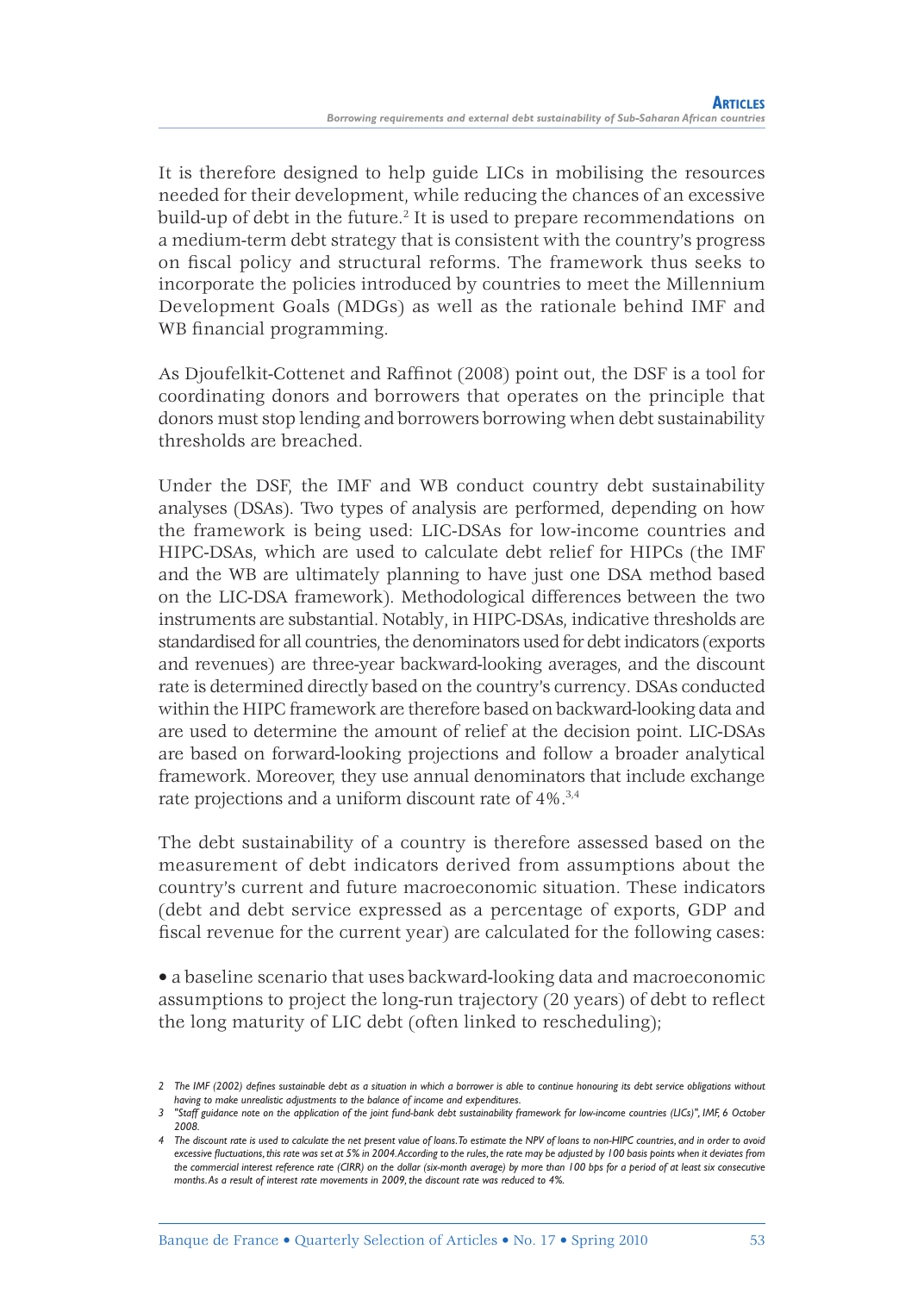It is therefore designed to help guide LICs in mobilising the resources needed for their development, while reducing the chances of an excessive build-up of debt in the future.<sup>2</sup> It is used to prepare recommendations on a medium-term debt strategy that is consistent with the country's progress on fiscal policy and structural reforms. The framework thus seeks to incorporate the policies introduced by countries to meet the Millennium Development Goals (MDGs) as well as the rationale behind IMF and WB financial programming.

As Djoufelkit-Cottenet and Raffinot (2008) point out, the DSF is a tool for coordinating donors and borrowers that operates on the principle that donors must stop lending and borrowers borrowing when debt sustainability thresholds are breached.

Under the DSF, the IMF and WB conduct country debt sustainability analyses (DSAs). Two types of analysis are performed, depending on how the framework is being used: LIC-DSAs for low-income countries and HIPC-DSAs, which are used to calculate debt relief for HIPCs (the IMF and the WB are ultimately planning to have just one DSA method based on the LIC-DSA framework). Methodological differences between the two instruments are substantial. Notably, in HIPC-DSAs, indicative thresholds are standardised for all countries, the denominators used for debt indicators (exports and revenues) are three-year backward-looking averages, and the discount rate is determined directly based on the country's currency. DSAs conducted within the HIPC framework are therefore based on backward-looking data and are used to determine the amount of relief at the decision point. LIC-DSAs are based on forward-looking projections and follow a broader analytical framework. Moreover, they use annual denominators that include exchange rate projections and a uniform discount rate of 4%.3,4

The debt sustainability of a country is therefore assessed based on the measurement of debt indicators derived from assumptions about the country's current and future macroeconomic situation. These indicators (debt and debt service expressed as a percentage of exports, GDP and fiscal revenue for the current year) are calculated for the following cases:

• a baseline scenario that uses backward-looking data and macroeconomic assumptions to project the long-run trajectory (20 years) of debt to reflect the long maturity of LIC debt (often linked to rescheduling);

*<sup>2</sup> The IMF (2002) defi nes sustainable debt as a situation in which a borrower is able to continue honouring its debt service obligations without having to make unrealistic adjustments to the balance of income and expenditures.*

*<sup>3 &</sup>quot;Staff guidance note on the application of the joint fund-bank debt sustainability framework for low-income countries (LICs)", IMF, 6 October 2008.*

*<sup>4</sup> The discount rate is used to calculate the net present value of loans. To estimate the NPV of loans to non-HIPC countries, and in order to avoid excessive fluctuations, this rate was set at 5% in 2004. According to the rules, the rate may be adjusted by 100 basis points when it deviates from the commercial interest reference rate (CIRR) on the dollar (six-month average) by more than 100 bps for a period of at least six consecutive months. As a result of interest rate movements in 2009, the discount rate was reduced to 4%.*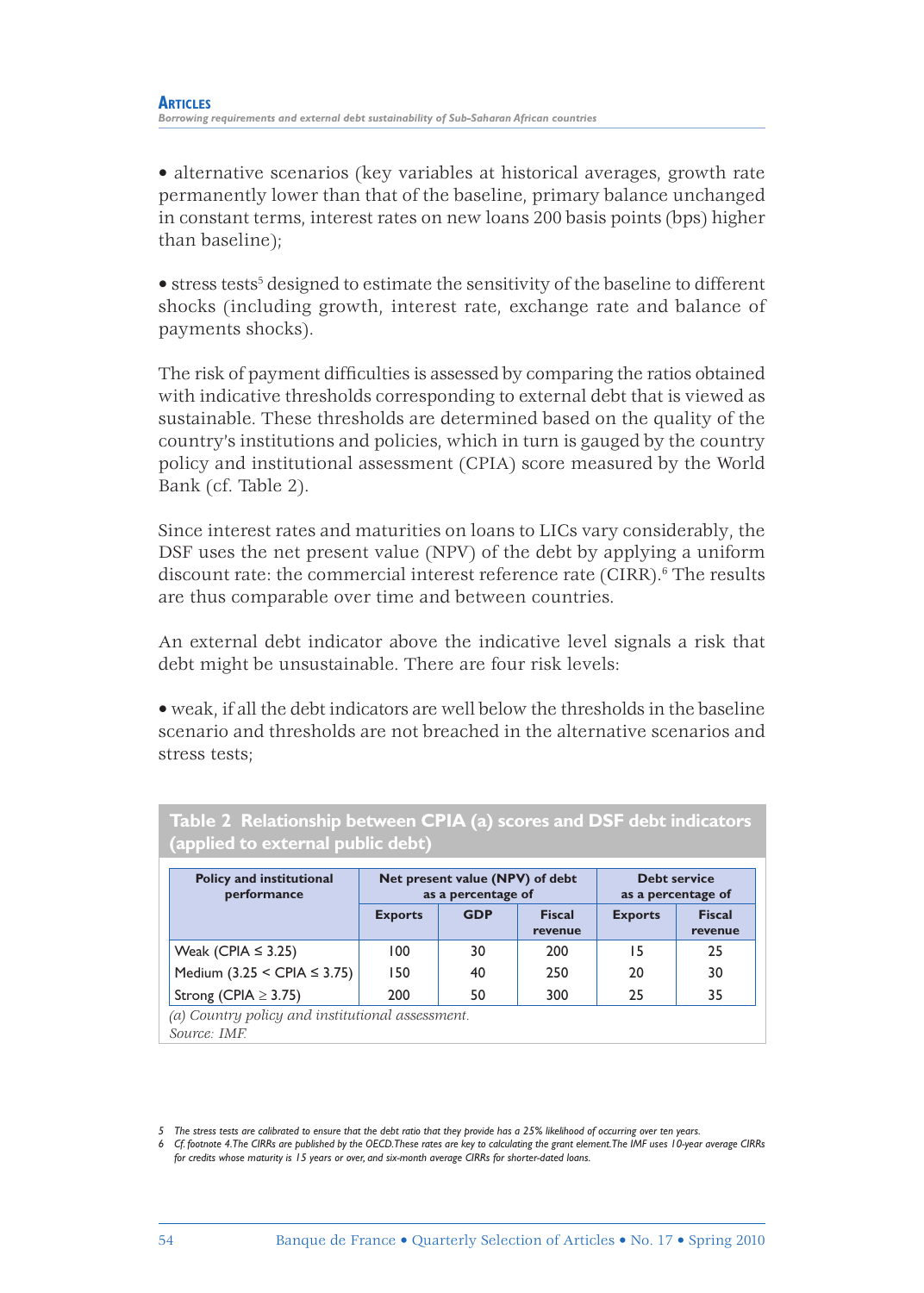• alternative scenarios (key variables at historical averages, growth rate permanently lower than that of the baseline, primary balance unchanged in constant terms, interest rates on new loans 200 basis points (bps) higher than baseline);

 $\bullet$  stress tests<sup>5</sup> designed to estimate the sensitivity of the baseline to different shocks (including growth, interest rate, exchange rate and balance of payments shocks).

The risk of payment difficulties is assessed by comparing the ratios obtained with indicative thresholds corresponding to external debt that is viewed as sustainable. These thresholds are determined based on the quality of the country's institutions and policies, which in turn is gauged by the country policy and institutional assessment (CPIA) score measured by the World Bank (cf. Table 2).

Since interest rates and maturities on loans to LICs vary considerably, the DSF uses the net present value (NPV) of the debt by applying a uniform discount rate: the commercial interest reference rate (CIRR).<sup>6</sup> The results are thus comparable over time and between countries.

An external debt indicator above the indicative level signals a risk that debt might be unsustainable. There are four risk levels:

• weak, if all the debt indicators are well below the thresholds in the baseline scenario and thresholds are not breached in the alternative scenarios and stress tests;

| <b>Policy and institutional</b><br>performance |                | Net present value (NPV) of debt<br>as a percentage of | <b>Debt service</b><br>as a percentage of |                |                          |
|------------------------------------------------|----------------|-------------------------------------------------------|-------------------------------------------|----------------|--------------------------|
|                                                | <b>Exports</b> | <b>GDP</b>                                            | <b>Fiscal</b><br>revenue                  | <b>Exports</b> | <b>Fiscal</b><br>revenue |
| Weak (CPIA $\leq$ 3.25)                        | 100            | 30                                                    | 200                                       | 15             | 25                       |
| Medium (3.25 < CPIA $\leq$ 3.75)               | 150            | 40                                                    | 250                                       | 20             | 30                       |
| Strong (CPIA $\geq$ 3.75)                      | 200            | 50                                                    | 300                                       | 25             | 35                       |

**Table 2 Relationship between CPIA (a) scores and DSF debt indicators (applied to external public debt)**

*Source: IMF.*

*<sup>5</sup> The stress tests are calibrated to ensure that the debt ratio that they provide has a 25% likelihood of occurring over ten years.*

*<sup>6</sup> Cf. footnote 4. The CIRRs are published by the OECD. These rates are key to calculating the grant element. The IMF uses 10-year average CIRRs for credits whose maturity is 15 years or over, and six-month average CIRRs for shorter-dated loans.*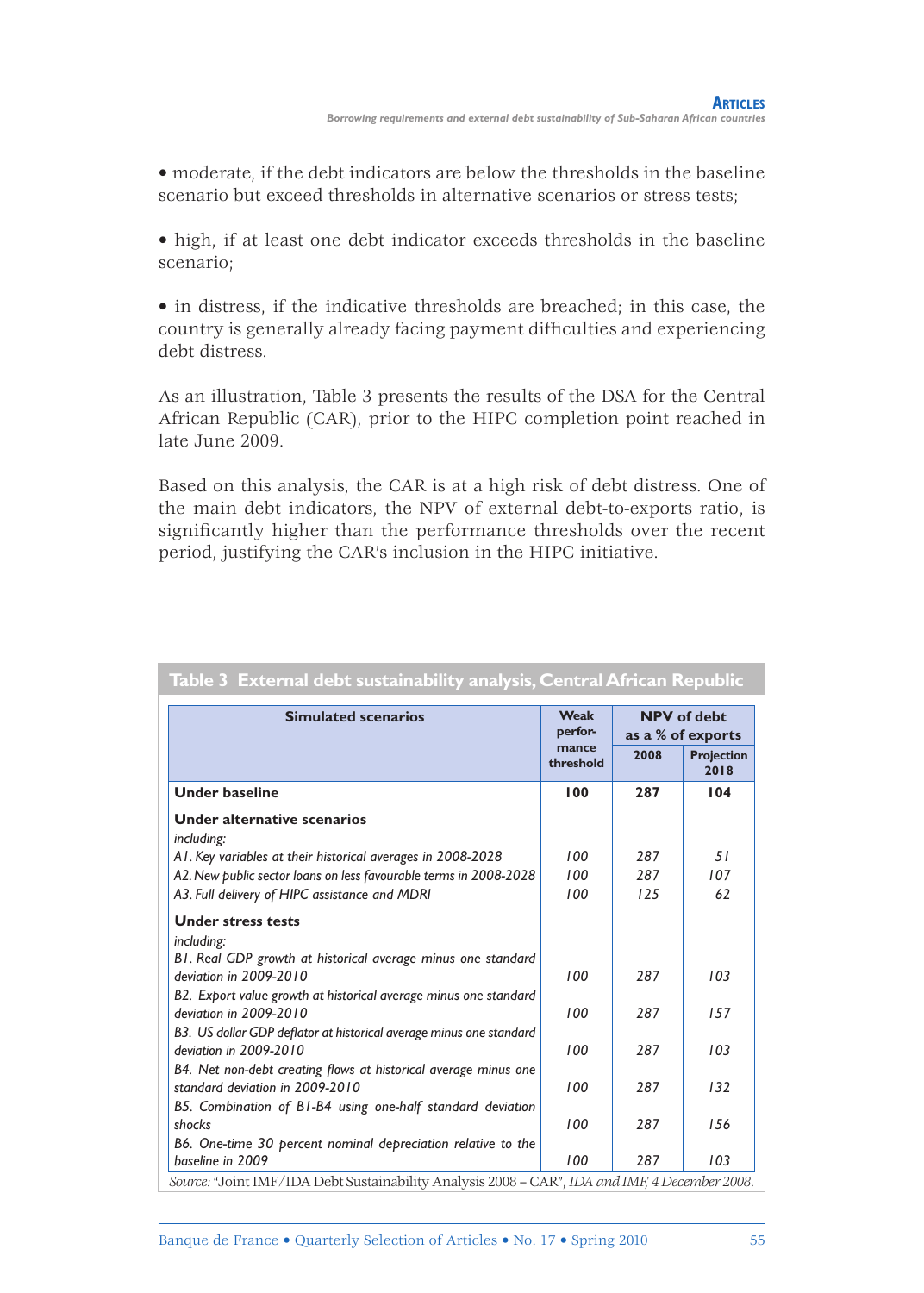• moderate, if the debt indicators are below the thresholds in the baseline scenario but exceed thresholds in alternative scenarios or stress tests;

• high, if at least one debt indicator exceeds thresholds in the baseline scenario;

• in distress, if the indicative thresholds are breached; in this case, the country is generally already facing payment difficulties and experiencing debt distress.

As an illustration, Table 3 presents the results of the DSA for the Central African Republic (CAR), prior to the HIPC completion point reached in late June 2009.

Based on this analysis, the CAR is at a high risk of debt distress. One of the main debt indicators, the NPV of external debt-to-exports ratio, is significantly higher than the performance thresholds over the recent period, justifying the CAR's inclusion in the HIPC initiative.

|                                                                                                    |                    | <b>NPV</b> of debt<br>as a % of exports |                           |
|----------------------------------------------------------------------------------------------------|--------------------|-----------------------------------------|---------------------------|
|                                                                                                    | mance<br>threshold | 2008                                    | <b>Projection</b><br>2018 |
| <b>Under baseline</b>                                                                              | 100                | 287                                     | 104                       |
| Under alternative scenarios                                                                        |                    |                                         |                           |
| including:                                                                                         |                    |                                         |                           |
| A1. Key variables at their historical averages in 2008-2028                                        | 100                | 287                                     | 51                        |
| A2. New public sector loans on less favourable terms in 2008-2028                                  | 100                | 287                                     | 107                       |
| A3. Full delivery of HIPC assistance and MDRI                                                      | 100                | 125                                     | 62                        |
| <b>Under stress tests</b>                                                                          |                    |                                         |                           |
| including:                                                                                         |                    |                                         |                           |
| B1. Real GDP growth at historical average minus one standard                                       |                    |                                         |                           |
| deviation in 2009-2010                                                                             | 100                | 287                                     | 103                       |
| B2. Export value growth at historical average minus one standard<br>deviation in 2009-2010         | 100                | 287                                     | 157                       |
| B3. US dollar GDP deflator at historical average minus one standard<br>deviation in 2009-2010      | 100                | 287                                     | 103                       |
| B4. Net non-debt creating flows at historical average minus one<br>standard deviation in 2009-2010 | 100                | 287                                     | 132                       |
| B5. Combination of B1-B4 using one-half standard deviation                                         |                    |                                         |                           |
| shocks                                                                                             | 100                | 287                                     | 156                       |
| B6. One-time 30 percent nominal depreciation relative to the                                       |                    |                                         |                           |
| baseline in 2009                                                                                   | 100                | 287                                     | 103                       |

### **Table 3 External debt sustainability analysis, Central African Republic**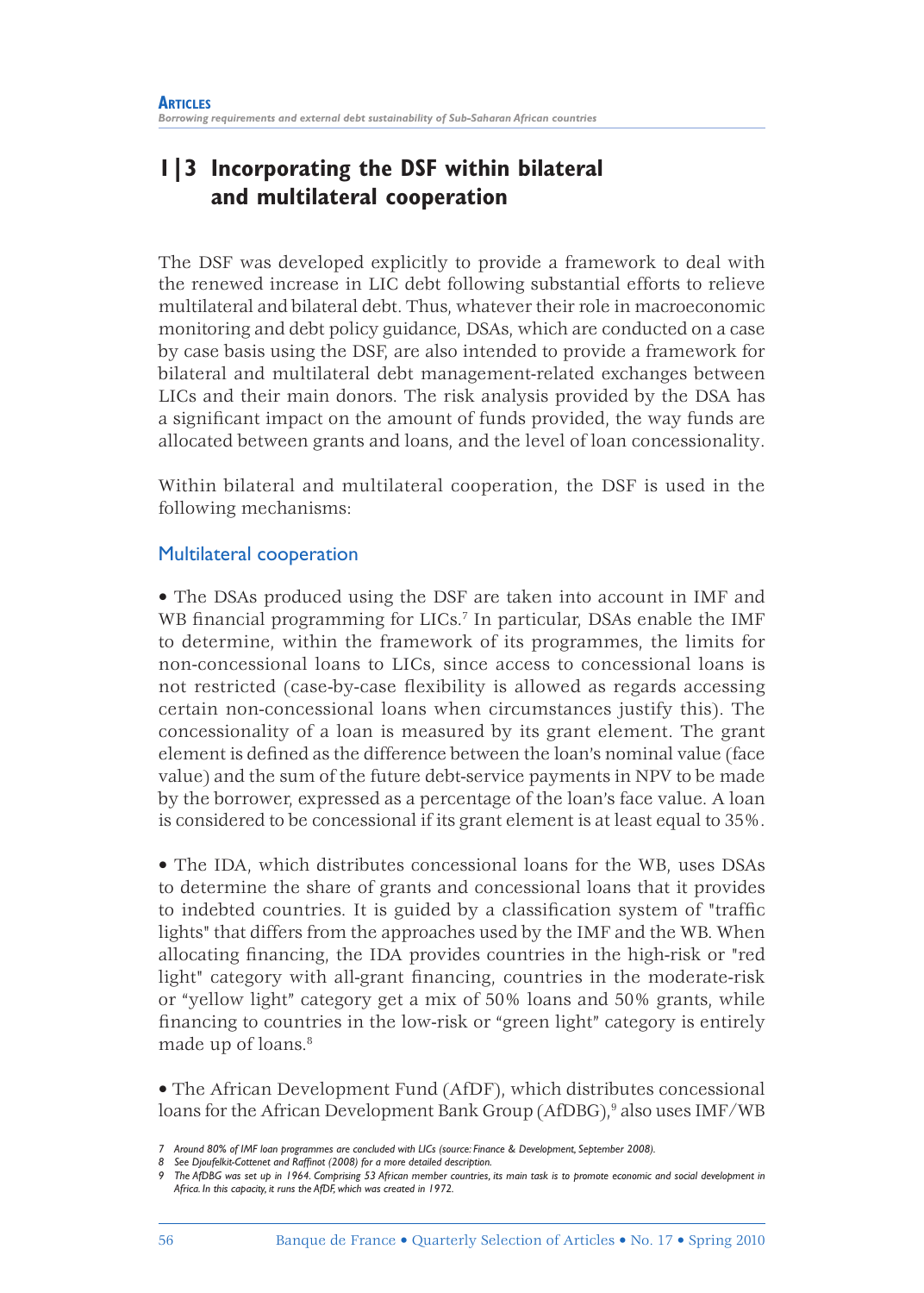# **1|3 Incorporating the DSF within bilateral and multilateral cooperation**

The DSF was developed explicitly to provide a framework to deal with the renewed increase in LIC debt following substantial efforts to relieve multilateral and bilateral debt. Thus, whatever their role in macroeconomic monitoring and debt policy guidance, DSAs, which are conducted on a case by case basis using the DSF, are also intended to provide a framework for bilateral and multilateral debt management-related exchanges between LICs and their main donors. The risk analysis provided by the DSA has a significant impact on the amount of funds provided, the way funds are allocated between grants and loans, and the level of loan concessionality.

Within bilateral and multilateral cooperation, the DSF is used in the following mechanisms:

## Multilateral cooperation

• The DSAs produced using the DSF are taken into account in IMF and WB financial programming for LICs.<sup>7</sup> In particular, DSAs enable the IMF to determine, within the framework of its programmes, the limits for non-concessional loans to LICs, since access to concessional loans is not restricted (case-by-case flexibility is allowed as regards accessing certain non-concessional loans when circumstances justify this). The concessionality of a loan is measured by its grant element. The grant element is defined as the difference between the loan's nominal value (face value) and the sum of the future debt-service payments in NPV to be made by the borrower, expressed as a percentage of the loan's face value. A loan is considered to be concessional if its grant element is at least equal to 35%.

• The IDA, which distributes concessional loans for the WB, uses DSAs to determine the share of grants and concessional loans that it provides to indebted countries. It is guided by a classification system of "traffic lights" that differs from the approaches used by the IMF and the WB. When allocating financing, the IDA provides countries in the high-risk or "red light" category with all-grant financing, countries in the moderate-risk or "yellow light" category get a mix of 50% loans and 50% grants, while financing to countries in the low-risk or "green light" category is entirely made up of loans.<sup>8</sup>

• The African Development Fund (AfDF), which distributes concessional loans for the African Development Bank Group (AfDBG),<sup>9</sup> also uses IMF/WB

*<sup>7</sup> Around 80% of IMF loan programmes are concluded with LICs (source: Finance & Development, September 2008).*

<sup>8</sup> See Djoufelkit-Cottenet and Raffinot (2008) for a more detailed description.

*<sup>9</sup> The AfDBG was set up in 1964. Comprising 53 African member countries, its main task is to promote economic and social development in Africa. In this capacity, it runs the AfDF, which was created in 1972.*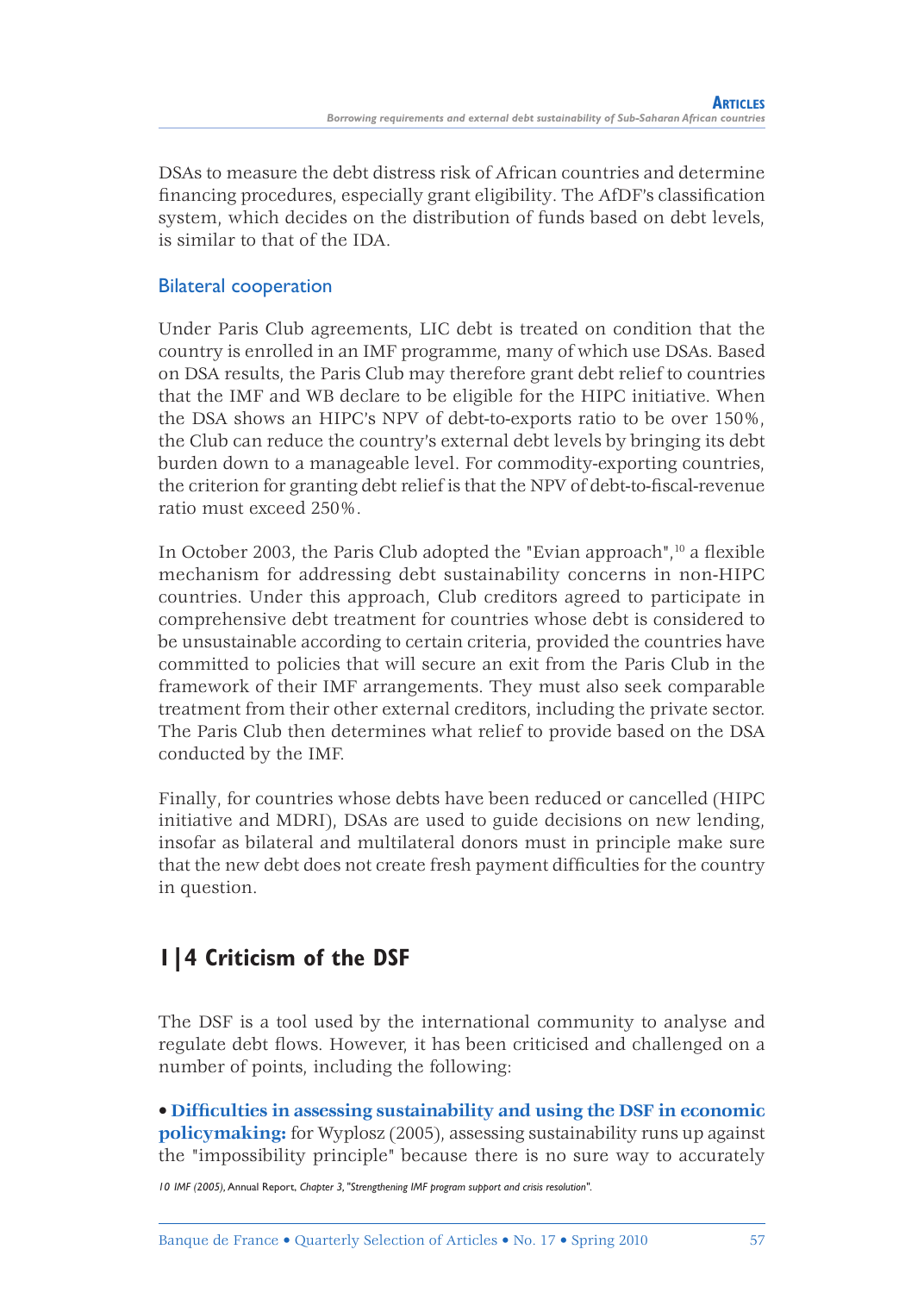DSAs to measure the debt distress risk of African countries and determine financing procedures, especially grant eligibility. The AfDF's classification system, which decides on the distribution of funds based on debt levels, is similar to that of the IDA.

## Bilateral cooperation

Under Paris Club agreements, LIC debt is treated on condition that the country is enrolled in an IMF programme, many of which use DSAs. Based on DSA results, the Paris Club may therefore grant debt relief to countries that the IMF and WB declare to be eligible for the HIPC initiative. When the DSA shows an HIPC's NPV of debt-to-exports ratio to be over 150%, the Club can reduce the country's external debt levels by bringing its debt burden down to a manageable level. For commodity-exporting countries, the criterion for granting debt relief is that the NPV of debt-to-fiscal-revenue ratio must exceed 250%.

In October 2003, the Paris Club adopted the "Evian approach", $10$  a fl exible mechanism for addressing debt sustainability concerns in non-HIPC countries. Under this approach, Club creditors agreed to participate in comprehensive debt treatment for countries whose debt is considered to be unsustainable according to certain criteria, provided the countries have committed to policies that will secure an exit from the Paris Club in the framework of their IMF arrangements. They must also seek comparable treatment from their other external creditors, including the private sector. The Paris Club then determines what relief to provide based on the DSA conducted by the IMF.

Finally, for countries whose debts have been reduced or cancelled (HIPC initiative and MDRI), DSAs are used to guide decisions on new lending, insofar as bilateral and multilateral donors must in principle make sure that the new debt does not create fresh payment difficulties for the country in question.

# **1|4 Criticism of the DSF**

The DSF is a tool used by the international community to analyse and regulate debt flows. However, it has been criticised and challenged on a number of points, including the following:

• **Diffi culties in assessing sustainability and using the DSF in economic policymaking:** for Wyplosz (2005), assessing sustainability runs up against the "impossibility principle" because there is no sure way to accurately

*10 IMF (2005),* Annual Report, *Chapter 3, "Strengthening IMF program support and crisis resolution".*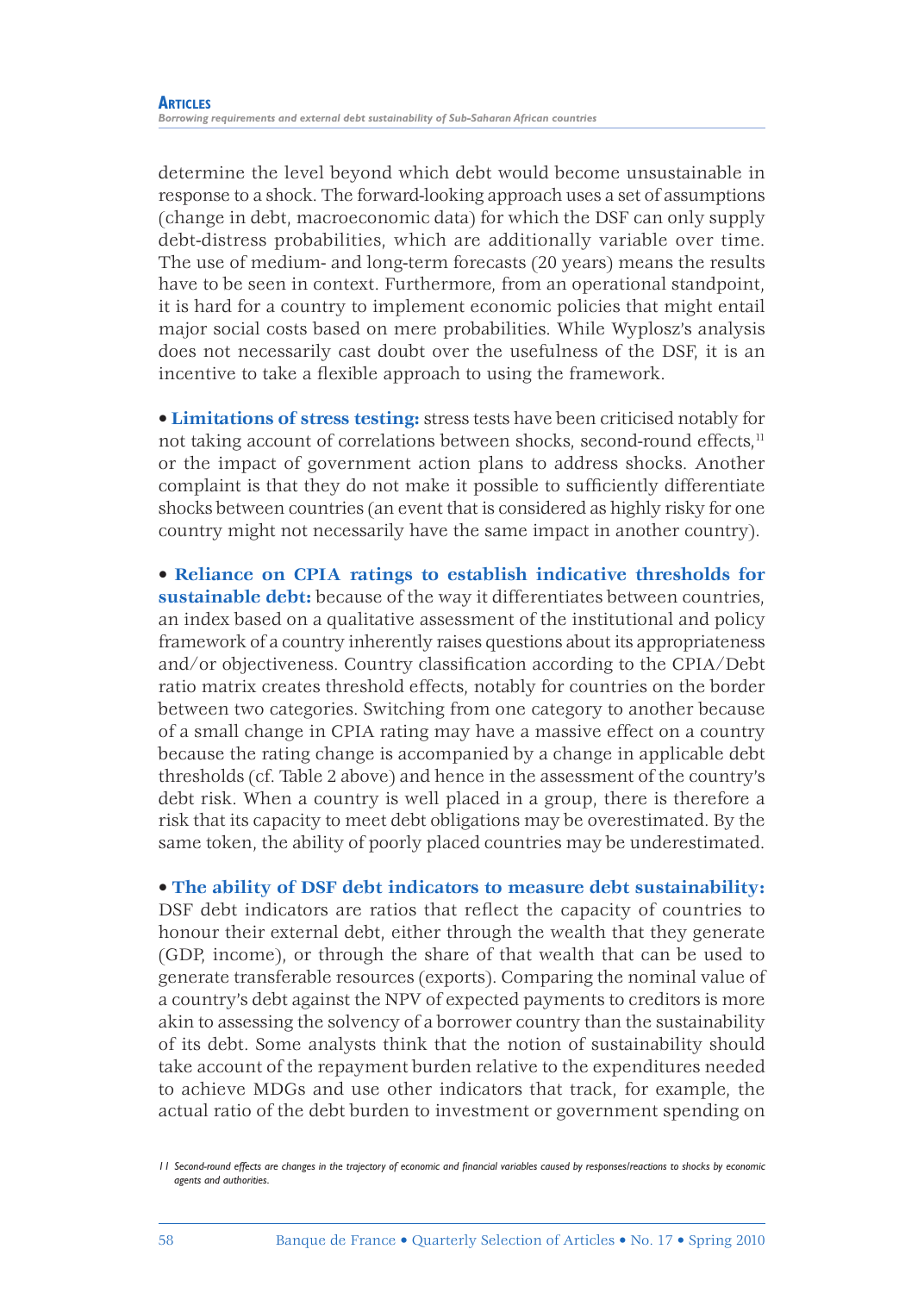determine the level beyond which debt would become unsustainable in response to a shock. The forward-looking approach uses a set of assumptions (change in debt, macroeconomic data) for which the DSF can only supply debt-distress probabilities, which are additionally variable over time. The use of medium- and long-term forecasts (20 years) means the results have to be seen in context. Furthermore, from an operational standpoint, it is hard for a country to implement economic policies that might entail major social costs based on mere probabilities. While Wyplosz's analysis does not necessarily cast doubt over the usefulness of the DSF, it is an incentive to take a flexible approach to using the framework.

• **Limitations of stress testing:** stress tests have been criticised notably for not taking account of correlations between shocks, second-round effects,<sup>11</sup> or the impact of government action plans to address shocks. Another complaint is that they do not make it possible to sufficiently differentiate shocks between countries (an event that is considered as highly risky for one country might not necessarily have the same impact in another country).

• **Reliance on CPIA ratings to establish indicative thresholds for sustainable debt:** because of the way it differentiates between countries, an index based on a qualitative assessment of the institutional and policy framework of a country inherently raises questions about its appropriateness and/or objectiveness. Country classification according to the CPIA/Debt ratio matrix creates threshold effects, notably for countries on the border between two categories. Switching from one category to another because of a small change in CPIA rating may have a massive effect on a country because the rating change is accompanied by a change in applicable debt thresholds (cf. Table 2 above) and hence in the assessment of the country's debt risk. When a country is well placed in a group, there is therefore a risk that its capacity to meet debt obligations may be overestimated. By the same token, the ability of poorly placed countries may be underestimated.

• **The ability of DSF debt indicators to measure debt sustainability:** DSF debt indicators are ratios that reflect the capacity of countries to honour their external debt, either through the wealth that they generate (GDP, income), or through the share of that wealth that can be used to generate transferable resources (exports). Comparing the nominal value of a country's debt against the NPV of expected payments to creditors is more akin to assessing the solvency of a borrower country than the sustainability of its debt. Some analysts think that the notion of sustainability should take account of the repayment burden relative to the expenditures needed to achieve MDGs and use other indicators that track, for example, the actual ratio of the debt burden to investment or government spending on

*<sup>11</sup> Second-round effects are changes in the trajectory of economic and financial variables caused by responses/reactions to shocks by economic agents and authorities.*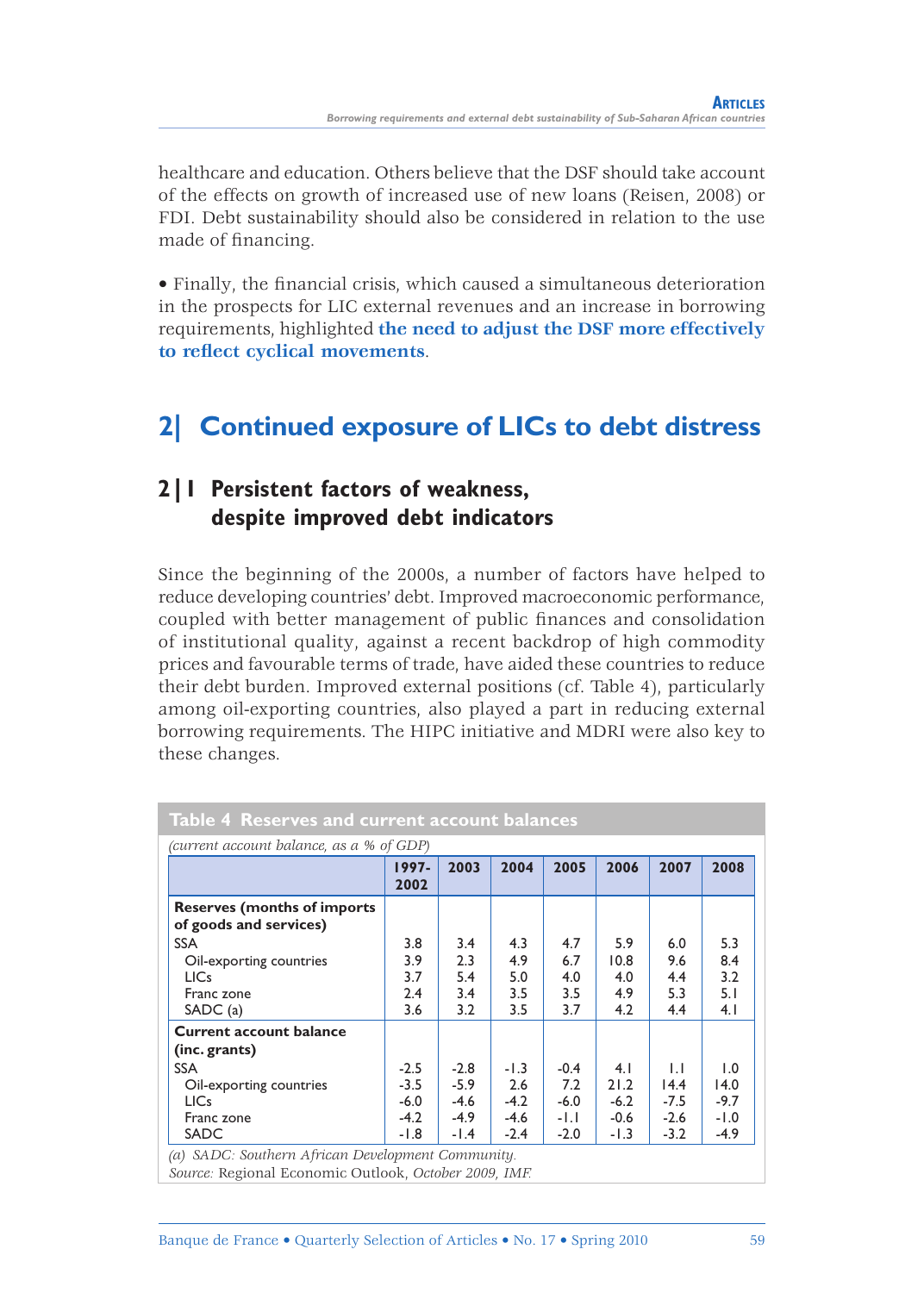healthcare and education. Others believe that the DSF should take account of the effects on growth of increased use of new loans (Reisen, 2008) or FDI. Debt sustainability should also be considered in relation to the use made of financing.

• Finally, the financial crisis, which caused a simultaneous deterioration in the prospects for LIC external revenues and an increase in borrowing requirements, highlighted **the need to adjust the DSF more effectively**  to reflect cyclical movements.

# **2| Continued exposure of LICs to debt distress**

# **2|1 Persistent factors of weakness, despite improved debt indicators**

Since the beginning of the 2000s, a number of factors have helped to reduce developing countries' debt. Improved macroeconomic performance, coupled with better management of public finances and consolidation of institutional quality, against a recent backdrop of high commodity prices and favourable terms of trade, have aided these countries to reduce their debt burden. Improved external positions (cf. Table 4), particularly among oil-exporting countries, also played a part in reducing external borrowing requirements. The HIPC initiative and MDRI were also key to these changes.

| (current account balance, as a % of GDP)                     |               |        |        |        |        |              |        |
|--------------------------------------------------------------|---------------|--------|--------|--------|--------|--------------|--------|
|                                                              | 1997-<br>2002 | 2003   | 2004   | 2005   | 2006   | 2007         | 2008   |
| <b>Reserves (months of imports</b><br>of goods and services) |               |        |        |        |        |              |        |
| <b>SSA</b>                                                   | 3.8           | 3.4    | 4.3    | 4.7    | 5.9    | 6.0          | 5.3    |
| Oil-exporting countries                                      | 3.9           | 2.3    | 4.9    | 6.7    | 10.8   | 9.6          | 8.4    |
| <b>LICs</b>                                                  | 3.7           | 5.4    | 5.0    | 4.0    | 4.0    | 4.4          | 3.2    |
| Franc zone                                                   | 2.4           | 3.4    | 3.5    | 3.5    | 4.9    | 5.3          | 5.1    |
| SADC(a)                                                      | 3.6           | 3.2    | 3.5    | 3.7    | 4.2    | 4.4          | 4.1    |
| <b>Current account balance</b><br>(inc. grants)              |               |        |        |        |        |              |        |
| <b>SSA</b>                                                   | $-2.5$        | $-2.8$ | $-1.3$ | $-0.4$ | 4.1    | $\mathsf{L}$ | 1.0    |
| Oil-exporting countries                                      | $-3.5$        | $-5.9$ | 2.6    | 7.2    | 21.2   | 14.4         | 14.0   |
| <b>LICs</b>                                                  | $-6.0$        | $-4.6$ | $-4.2$ | $-6.0$ | $-6.2$ | $-7.5$       | $-9.7$ |
| Franc zone                                                   | $-4.2$        | $-4.9$ | $-4.6$ | -1.1   | $-0.6$ | $-2.6$       | $-1.0$ |
| <b>SADC</b>                                                  | -1.8          | $-1.4$ | $-2.4$ | $-2.0$ | $-1.3$ | $-3.2$       | $-4.9$ |

*Source:* Regional Economic Outlook, *October 2009, IMF.*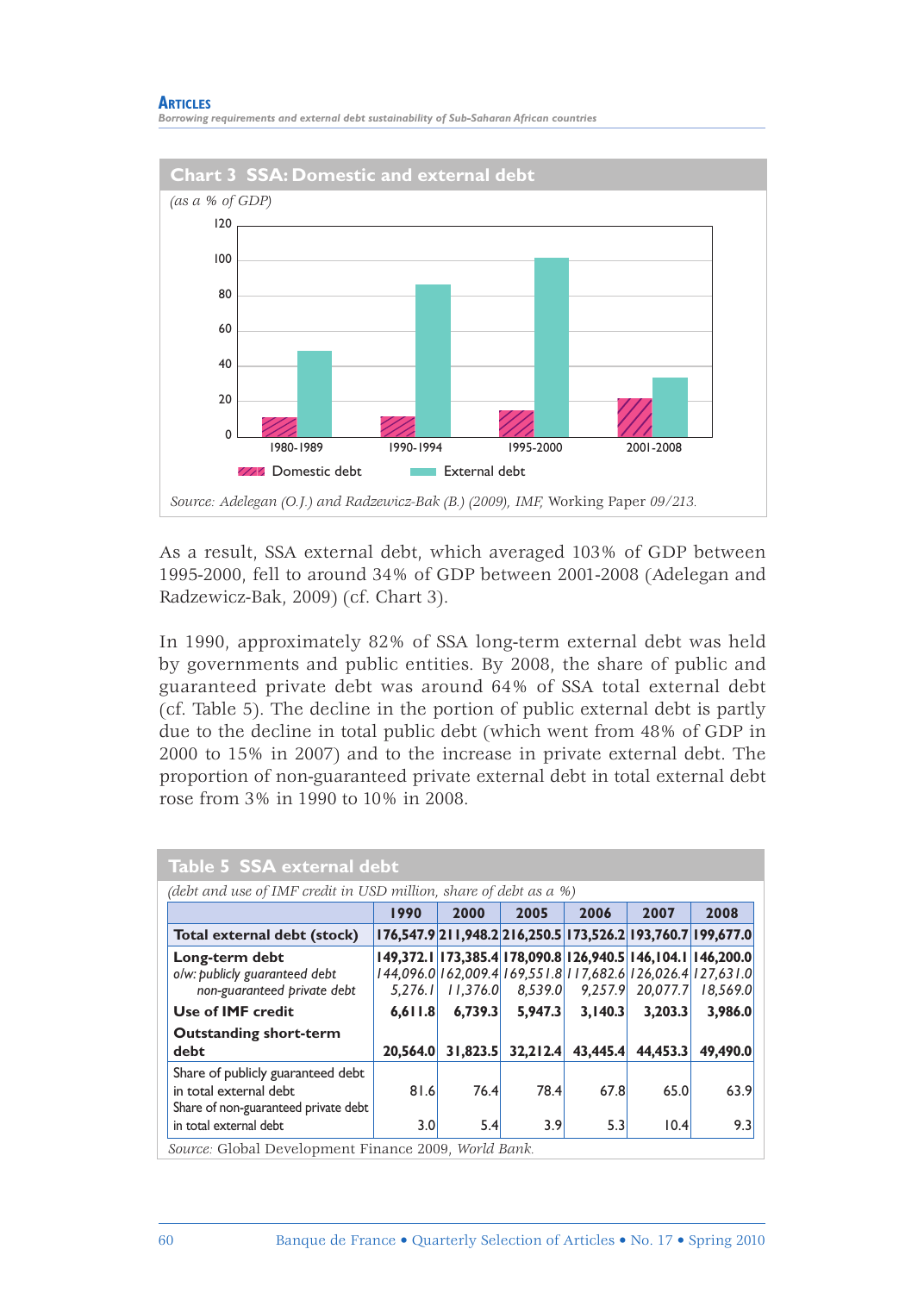#### **ARTICLES**

*Borrowing requirements and external debt sustainability of Sub-Saharan African countries*



As a result, SSA external debt, which averaged 103% of GDP between 1995-2000, fell to around 34% of GDP between 2001-2008 (Adelegan and Radzewicz-Bak, 2009) (cf. Chart 3).

In 1990, approximately 82% of SSA long-term external debt was held by governments and public entities. By 2008, the share of public and guaranteed private debt was around 64% of SSA total external debt (cf. Table 5). The decline in the portion of public external debt is partly due to the decline in total public debt (which went from 48% of GDP in 2000 to 15% in 2007) and to the increase in private external debt. The proportion of non-guaranteed private external debt in total external debt rose from 3% in 1990 to 10% in 2008.

| Table 5 SSA external debt                                                                           |                                                                   |          |                                                                                                                                                       |          |          |          |  |  |  |
|-----------------------------------------------------------------------------------------------------|-------------------------------------------------------------------|----------|-------------------------------------------------------------------------------------------------------------------------------------------------------|----------|----------|----------|--|--|--|
|                                                                                                     | (debt and use of IMF credit in USD million, share of debt as a %) |          |                                                                                                                                                       |          |          |          |  |  |  |
|                                                                                                     | 1990                                                              | 2000     | 2005                                                                                                                                                  | 2006     | 2007     | 2008     |  |  |  |
| Total external debt (stock)                                                                         |                                                                   |          | 176,547.9 211,948.2 216,250.5 173,526.2 193,760.7 199,677.0                                                                                           |          |          |          |  |  |  |
| Long-term debt<br>o/w: publicly guaranteed debt<br>non-guaranteed private debt                      | 5.276.1                                                           | 11.376.0 | 149, 372.1   173, 385.4   178, 090.8   126, 940.5   146, 104.1   146, 200.0<br>144,096.0 162,009.4 169,551.8 117,682.6 126,026.4 127,631.0<br>8,539.0 | 9,257.9  | 20,077.7 | 18.569.0 |  |  |  |
| Use of <b>IMF</b> credit                                                                            | 6.611.8                                                           | 6,739.3  | 5.947.3                                                                                                                                               | 3.140.3  | 3,203.3  | 3.986.0  |  |  |  |
| <b>Outstanding short-term</b><br>debt                                                               | 20.564.0                                                          | 31.823.5 | 32,212.4                                                                                                                                              | 43,445.4 | 44,453.3 | 49.490.0 |  |  |  |
| Share of publicly guaranteed debt<br>in total external debt<br>Share of non-guaranteed private debt | 81.6                                                              | 76.4     | 78.4                                                                                                                                                  | 67.8     | 65.0     | 63.9     |  |  |  |
| in total external debt                                                                              | 3.0                                                               | 5.4      | 3.9                                                                                                                                                   | 5.3      | 10.4     | 9.3      |  |  |  |
| Source: Global Development Finance 2009, World Bank.                                                |                                                                   |          |                                                                                                                                                       |          |          |          |  |  |  |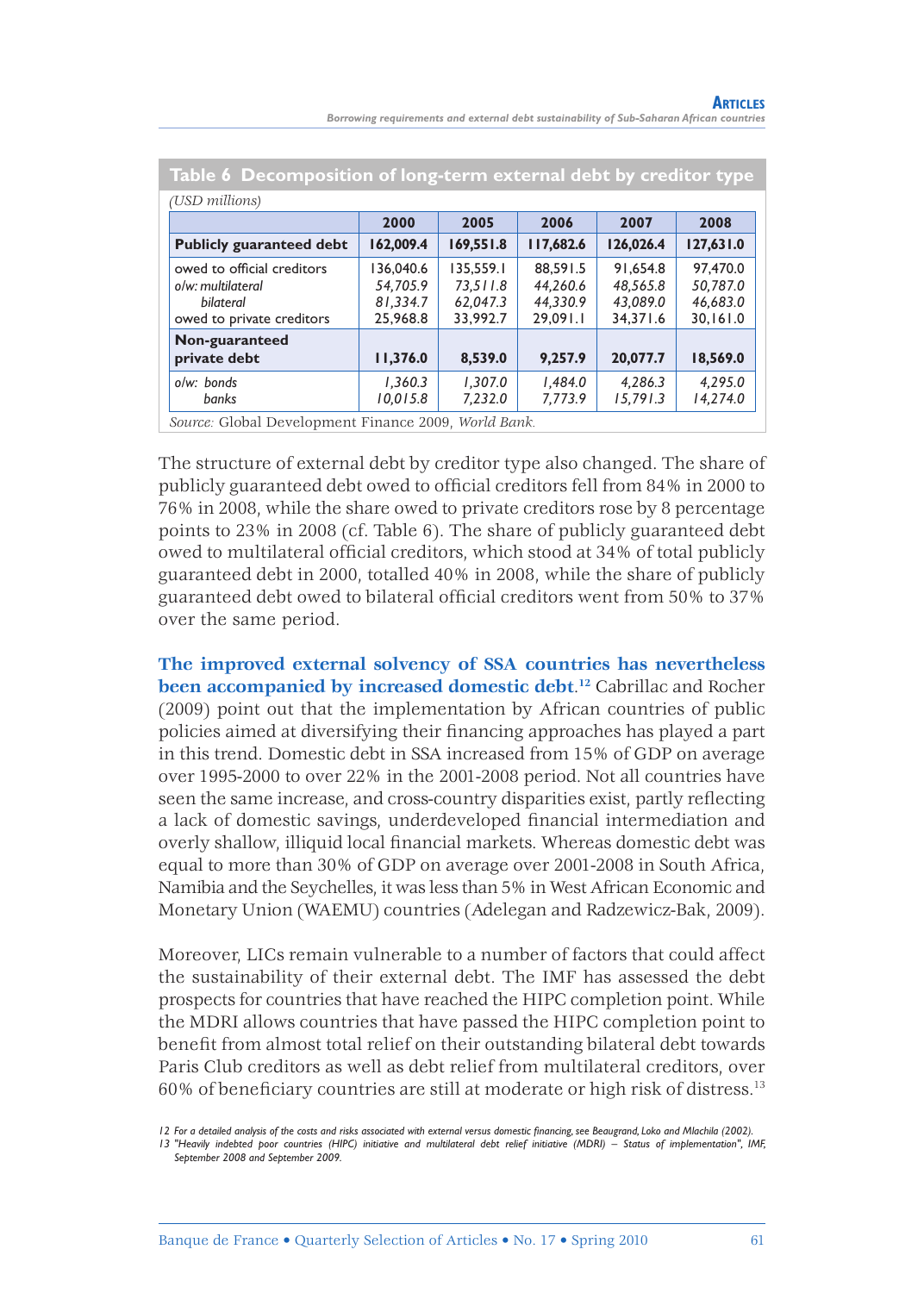| Borrowing requirements and external debt sustainability of Sub-Saharan African countries |  |  |  |
|------------------------------------------------------------------------------------------|--|--|--|
|------------------------------------------------------------------------------------------|--|--|--|

| Table 6 Decomposition of long-term external debt by creditor type |                                               |                                              |                                              |                                              |  |  |
|-------------------------------------------------------------------|-----------------------------------------------|----------------------------------------------|----------------------------------------------|----------------------------------------------|--|--|
|                                                                   |                                               |                                              |                                              |                                              |  |  |
| 2000                                                              | 2005                                          | 2006                                         | 2007                                         | 2008                                         |  |  |
| 162,009.4                                                         | 169,551.8                                     | 117,682.6                                    | 126,026.4                                    | 127,631.0                                    |  |  |
| 136,040.6<br>54.705.9<br>81.334.7<br>25,968.8                     | 135.559.1<br>73.511.8<br>62.047.3<br>33.992.7 | 88.591.5<br>44.260.6<br>44.330.9<br>29.091.1 | 91.654.8<br>48.565.8<br>43.089.0<br>34.371.6 | 97,470.0<br>50.787.0<br>46.683.0<br>30.161.0 |  |  |
| 11,376.0                                                          | 8,539.0                                       | 9,257.9                                      | 20,077.7                                     | 18,569.0                                     |  |  |
| 1.360.3<br>10,015.8                                               | 1.307.0<br>7,232.0                            | 1.484.0<br>7,773.9                           | 4.286.3<br>15,791.3                          | 4.295.0<br>14,274.0                          |  |  |
|                                                                   |                                               |                                              |                                              |                                              |  |  |

*Source:* Global Development Finance 2009, *World Bank.*

The structure of external debt by creditor type also changed. The share of publicly guaranteed debt owed to official creditors fell from 84% in 2000 to 76% in 2008, while the share owed to private creditors rose by 8 percentage points to 23% in 2008 (cf. Table 6). The share of publicly guaranteed debt owed to multilateral official creditors, which stood at 34% of total publicly guaranteed debt in 2000, totalled 40% in 2008, while the share of publicly guaranteed debt owed to bilateral official creditors went from 50% to 37% over the same period.

**The improved external solvency of SSA countries has nevertheless been accompanied by increased domestic debt**. **<sup>12</sup>** Cabrillac and Rocher (2009) point out that the implementation by African countries of public policies aimed at diversifying their financing approaches has played a part in this trend. Domestic debt in SSA increased from 15% of GDP on average over 1995-2000 to over 22% in the 2001-2008 period. Not all countries have seen the same increase, and cross-country disparities exist, partly reflecting a lack of domestic savings, underdeveloped financial intermediation and overly shallow, illiquid local financial markets. Whereas domestic debt was equal to more than 30% of GDP on average over 2001-2008 in South Africa, Namibia and the Seychelles, it was less than 5% in West African Economic and Monetary Union (WAEMU) countries (Adelegan and Radzewicz-Bak, 2009).

Moreover, LICs remain vulnerable to a number of factors that could affect the sustainability of their external debt. The IMF has assessed the debt prospects for countries that have reached the HIPC completion point. While the MDRI allows countries that have passed the HIPC completion point to benefit from almost total relief on their outstanding bilateral debt towards Paris Club creditors as well as debt relief from multilateral creditors, over  $60\%$  of beneficiary countries are still at moderate or high risk of distress.<sup>13</sup>

*<sup>12</sup> For a detailed analysis of the costs and risks associated with external versus domestic fi nancing, see Beaugrand, Loko and Mlachila (2002).*

*<sup>13 &</sup>quot;Heavily indebted poor countries (HIPC) initiative and multilateral debt relief initiative (MDRI) – Status of implementation", IMF, September 2008 and September 2009.*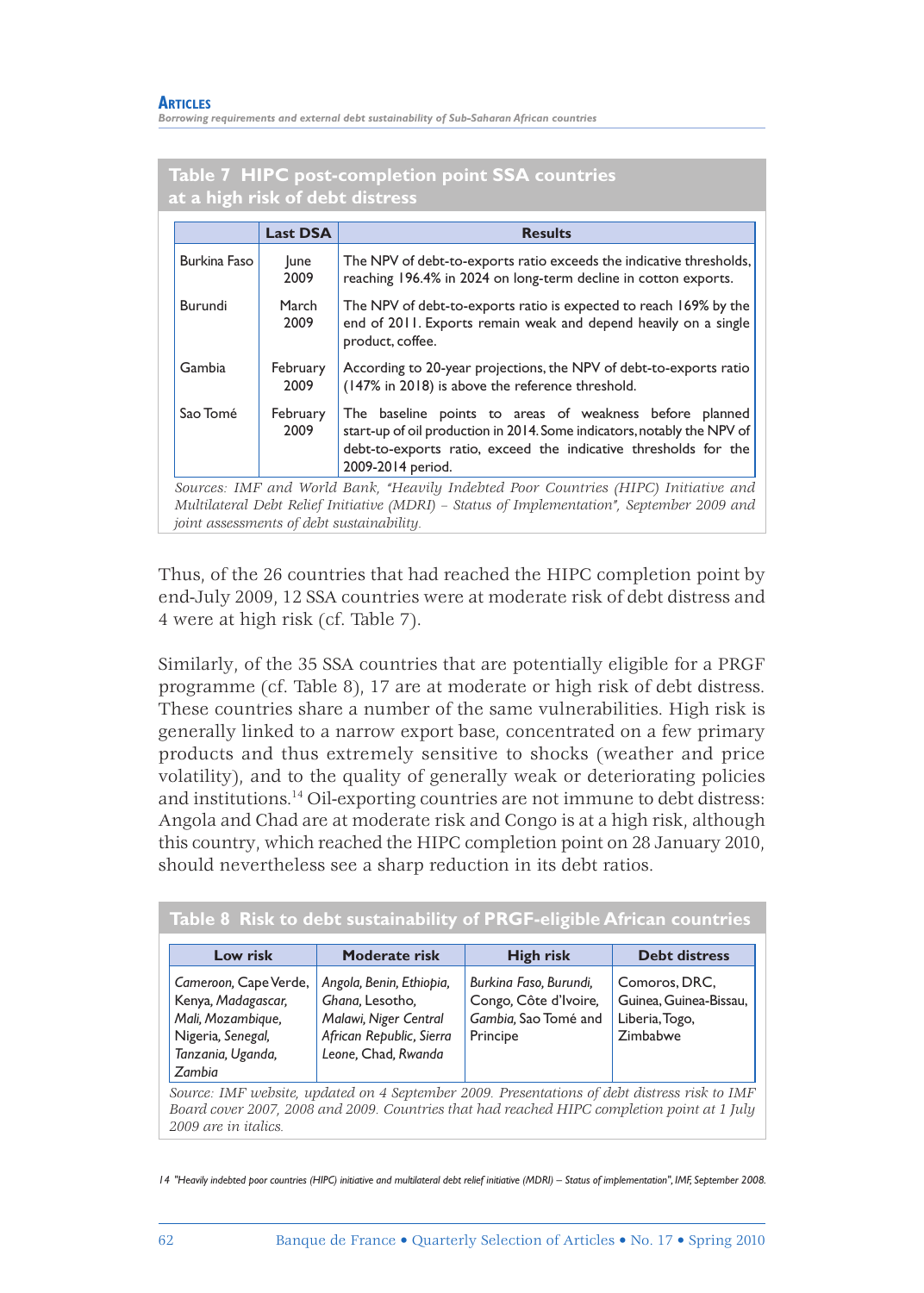*Borrowing requirements and external debt sustainability of Sub-Saharan African countries*

#### **Table 7 HIPC post-completion point SSA countries at a high risk of debt distress**

|              | <b>Last DSA</b>  | <b>Results</b>                                                                                                                                                                                                                 |
|--------------|------------------|--------------------------------------------------------------------------------------------------------------------------------------------------------------------------------------------------------------------------------|
| Burkina Faso | lune<br>2009     | The NPV of debt-to-exports ratio exceeds the indicative thresholds,<br>reaching 196.4% in 2024 on long-term decline in cotton exports.                                                                                         |
| Burundi      | March<br>2009    | The NPV of debt-to-exports ratio is expected to reach 169% by the<br>end of 2011. Exports remain weak and depend heavily on a single<br>product, coffee.                                                                       |
| Gambia       | February<br>2009 | According to 20-year projections, the NPV of debt-to-exports ratio<br>(147% in 2018) is above the reference threshold.                                                                                                         |
| Sao Tomé     | February<br>2009 | The baseline points to areas of weakness before planned<br>start-up of oil production in 2014. Some indicators, notably the NPV of<br>debt-to-exports ratio, exceed the indicative thresholds for the<br>2009-2014 period.     |
|              |                  | Sources: IMF and World Bank, "Heavily Indebted Poor Countries (HIPC) Initiative and<br>Multilateral Debt Relief Initiative (MDRI) – Status of Implementation", September 2009 and<br>joint assessments of debt sustainability. |

Thus, of the 26 countries that had reached the HIPC completion point by end-July 2009, 12 SSA countries were at moderate risk of debt distress and 4 were at high risk (cf. Table 7).

Similarly, of the 35 SSA countries that are potentially eligible for a PRGF programme (cf. Table 8), 17 are at moderate or high risk of debt distress. These countries share a number of the same vulnerabilities. High risk is generally linked to a narrow export base, concentrated on a few primary products and thus extremely sensitive to shocks (weather and price volatility), and to the quality of generally weak or deteriorating policies and institutions.14 Oil-exporting countries are not immune to debt distress: Angola and Chad are at moderate risk and Congo is at a high risk, although this country, which reached the HIPC completion point on 28 January 2010, should nevertheless see a sharp reduction in its debt ratios.

| Low risk                                                                                                                                                                                                            | Moderate risk                                                                                                           | High risk                                                                           | <b>Debt distress</b>                                                  |  |  |  |
|---------------------------------------------------------------------------------------------------------------------------------------------------------------------------------------------------------------------|-------------------------------------------------------------------------------------------------------------------------|-------------------------------------------------------------------------------------|-----------------------------------------------------------------------|--|--|--|
| Cameroon, Cape Verde,<br>Kenya, Madagascar,<br>Mali, Mozambique,<br>Nigeria, Senegal,<br>Tanzania, Uganda,<br>Zambia                                                                                                | Angola, Benin, Ethiopia,<br>Ghana, Lesotho,<br>Malawi, Niger Central<br>African Republic, Sierra<br>Leone, Chad, Rwanda | Burkina Faso, Burundi,<br>Congo, Côte d'Ivoire,<br>Gambia, Sao Tomé and<br>Principe | Comoros, DRC,<br>Guinea, Guinea-Bissau,<br>Liberia, Togo,<br>Zimbabwe |  |  |  |
| Source: IMF website, updated on 4 September 2009. Presentations of debt distress risk to IMF<br>Board cover 2007, 2008 and 2009. Countries that had reached HIPC completion point at 1 July<br>2009 are in italics. |                                                                                                                         |                                                                                     |                                                                       |  |  |  |

**Table 8 Risk to debt sustainability of PRGF-eligible African countries** 

*<sup>14 &</sup>quot;Heavily indebted poor countries (HIPC) initiative and multilateral debt relief initiative (MDRI) – Status of implementation", IMF, September 2008.*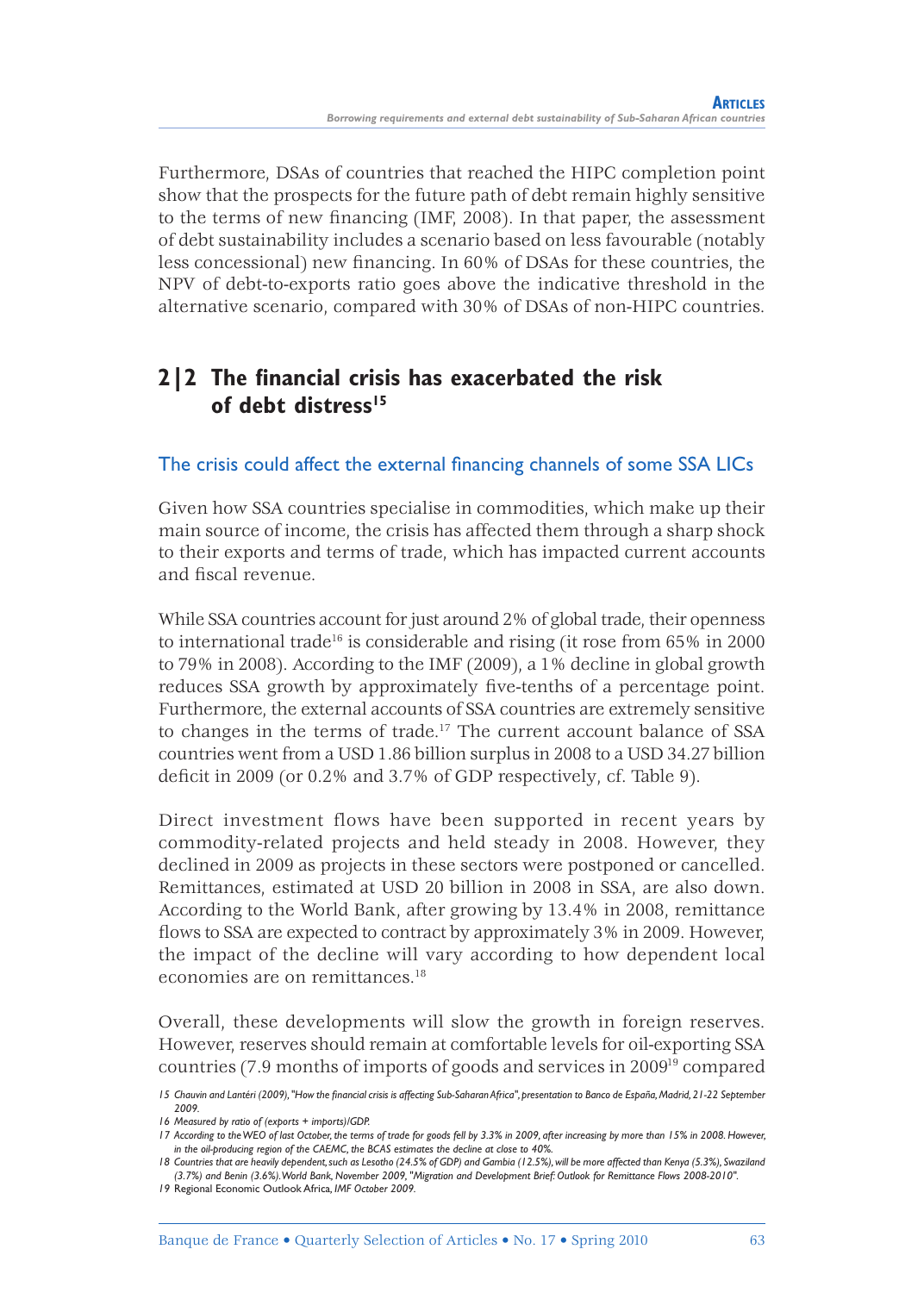Furthermore, DSAs of countries that reached the HIPC completion point show that the prospects for the future path of debt remain highly sensitive to the terms of new financing (IMF, 2008). In that paper, the assessment of debt sustainability includes a scenario based on less favourable (notably less concessional) new financing. In 60% of DSAs for these countries, the NPV of debt-to-exports ratio goes above the indicative threshold in the alternative scenario, compared with 30% of DSAs of non-HIPC countries.

# **2|2 The financial crisis has exacerbated the risk of debt distress15**

## The crisis could affect the external financing channels of some SSA LICs

Given how SSA countries specialise in commodities, which make up their main source of income, the crisis has affected them through a sharp shock to their exports and terms of trade, which has impacted current accounts and fiscal revenue.

While SSA countries account for just around 2% of global trade, their openness to international trade<sup>16</sup> is considerable and rising (it rose from  $65\%$  in 2000) to 79% in 2008). According to the IMF (2009), a 1% decline in global growth reduces SSA growth by approximately five-tenths of a percentage point. Furthermore, the external accounts of SSA countries are extremely sensitive to changes in the terms of trade.17 The current account balance of SSA countries went from a USD 1.86 billion surplus in 2008 to a USD 34.27 billion deficit in 2009 (or  $0.2\%$  and  $3.7\%$  of GDP respectively, cf. Table 9).

Direct investment flows have been supported in recent years by commodity-related projects and held steady in 2008. However, they declined in 2009 as projects in these sectors were postponed or cancelled. Remittances, estimated at USD 20 billion in 2008 in SSA, are also down. According to the World Bank, after growing by 13.4% in 2008, remittance flows to SSA are expected to contract by approximately 3% in 2009. However, the impact of the decline will vary according to how dependent local economies are on remittances.18

Overall, these developments will slow the growth in foreign reserves. However, reserves should remain at comfortable levels for oil-exporting SSA countries (7.9 months of imports of goods and services in 200919 compared

*<sup>15</sup> Chauvin and Lantéri (2009), "How the fi nancial crisis is affecting Sub-Saharan Africa", presentation to Banco de España, Madrid, 21-22 September 2009.*

*<sup>16</sup> Measured by ratio of (exports + imports)/GDP.*

*<sup>17</sup> According to the WEO of last October, the terms of trade for goods fell by 3.3% in 2009, after increasing by more than 15% in 2008. However, in the oil-producing region of the CAEMC, the BCAS estimates the decline at close to 40%.*

*<sup>18</sup> Countries that are heavily dependent, such as Lesotho (24.5% of GDP) and Gambia (12.5%), will be more affected than Kenya (5.3%), Swaziland (3.7%) and Benin (3.6%). World Bank, November 2009, "Migration and Development Brief: Outlook for Remittance Flows 2008-2010".*

*<sup>19</sup>* Regional Economic Outlook Africa*, IMF October 2009.*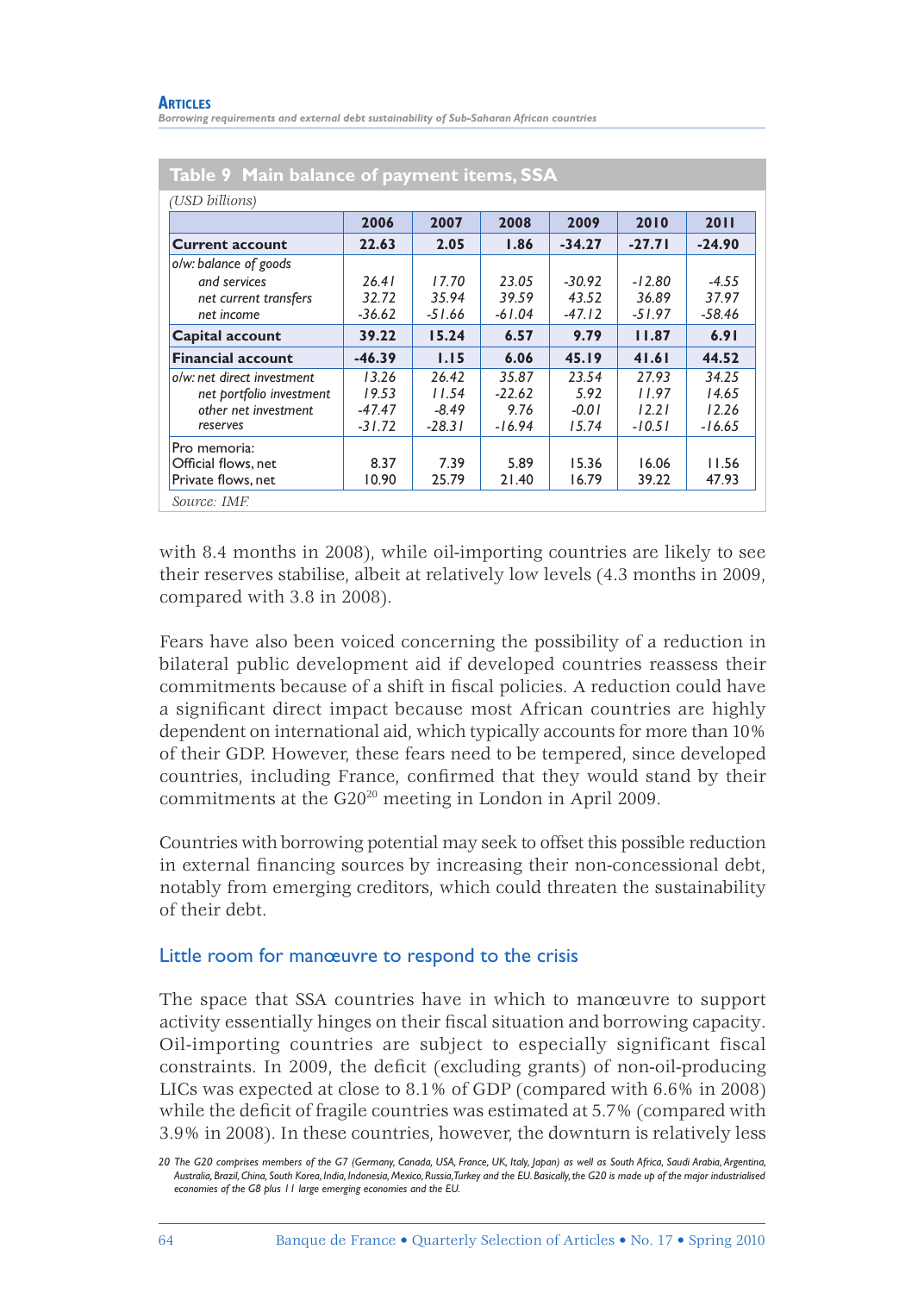#### **ARTICLES**

*Borrowing requirements and external debt sustainability of Sub-Saharan African countries*

| (USD billions)             |          |          |          |          |          |          |
|----------------------------|----------|----------|----------|----------|----------|----------|
|                            | 2006     | 2007     | 2008     | 2009     | 2010     | 2011     |
| <b>Current account</b>     | 22.63    | 2.05     | 1.86     | $-34.27$ | $-27.71$ | $-24.90$ |
| o/w: balance of goods      |          |          |          |          |          |          |
| and services               | 26.41    | 17.70    | 23.05    | $-30.92$ | $-12.80$ | $-4.55$  |
| net current transfers      | 32.72    | 35.94    | 39.59    | 43.52    | 36.89    | 37.97    |
| net income                 | $-36.62$ | $-51.66$ | $-61.04$ | $-47.12$ | $-51.97$ | $-58.46$ |
| <b>Capital account</b>     | 39.22    | 15.24    | 6.57     | 9.79     | 11.87    | 6.91     |
| <b>Financial account</b>   | $-46.39$ | 1.15     | 6.06     | 45.19    | 41.61    | 44.52    |
| o/w: net direct investment | 13.26    | 26.42    | 35.87    | 23.54    | 27.93    | 34.25    |
| net portfolio investment   | 19.53    | 11.54    | $-22.62$ | 5.92     | 11.97    | 14.65    |
| other net investment       | $-47.47$ | $-8.49$  | 9.76     | $-0.01$  | 12.21    | 12.26    |
| reserves                   | $-31.72$ | $-28.31$ | $-16.94$ | 15.74    | $-10.51$ | $-16.65$ |
| Pro memoria:               |          |          |          |          |          |          |
| Official flows, net        | 8.37     | 7.39     | 5.89     | 15.36    | 16.06    | 11.56    |
| Private flows, net         | 10.90    | 25.79    | 21.40    | 16.79    | 39.22    | 47.93    |

#### with 8.4 months in 2008), while oil-importing countries are likely to see their reserves stabilise, albeit at relatively low levels (4.3 months in 2009, compared with 3.8 in 2008).

Fears have also been voiced concerning the possibility of a reduction in bilateral public development aid if developed countries reassess their commitments because of a shift in fiscal policies. A reduction could have a significant direct impact because most African countries are highly dependent on international aid, which typically accounts for more than 10% of their GDP. However, these fears need to be tempered, since developed countries, including France, confirmed that they would stand by their commitments at the G2020 meeting in London in April 2009.

Countries with borrowing potential may seek to offset this possible reduction in external financing sources by increasing their non-concessional debt, notably from emerging creditors, which could threaten the sustainability of their debt.

#### Little room for manœuvre to respond to the crisis

The space that SSA countries have in which to manœuvre to support activity essentially hinges on their fiscal situation and borrowing capacity. Oil-importing countries are subject to especially significant fiscal constraints. In 2009, the deficit (excluding grants) of non-oil-producing LICs was expected at close to 8.1% of GDP (compared with 6.6% in 2008) while the deficit of fragile countries was estimated at 5.7% (compared with 3.9% in 2008). In these countries, however, the downturn is relatively less

*<sup>20</sup> The G20 comprises members of the G7 (Germany, Canada, USA, France, UK, Italy, Japan) as well as South Africa, Saudi Arabia, Argentina, Australia, Brazil, China, South Korea, India, Indonesia, Mexico, Russia, Turkey and the EU. Basically, the G20 is made up of the major industrialised economies of the G8 plus 11 large emerging economies and the EU.*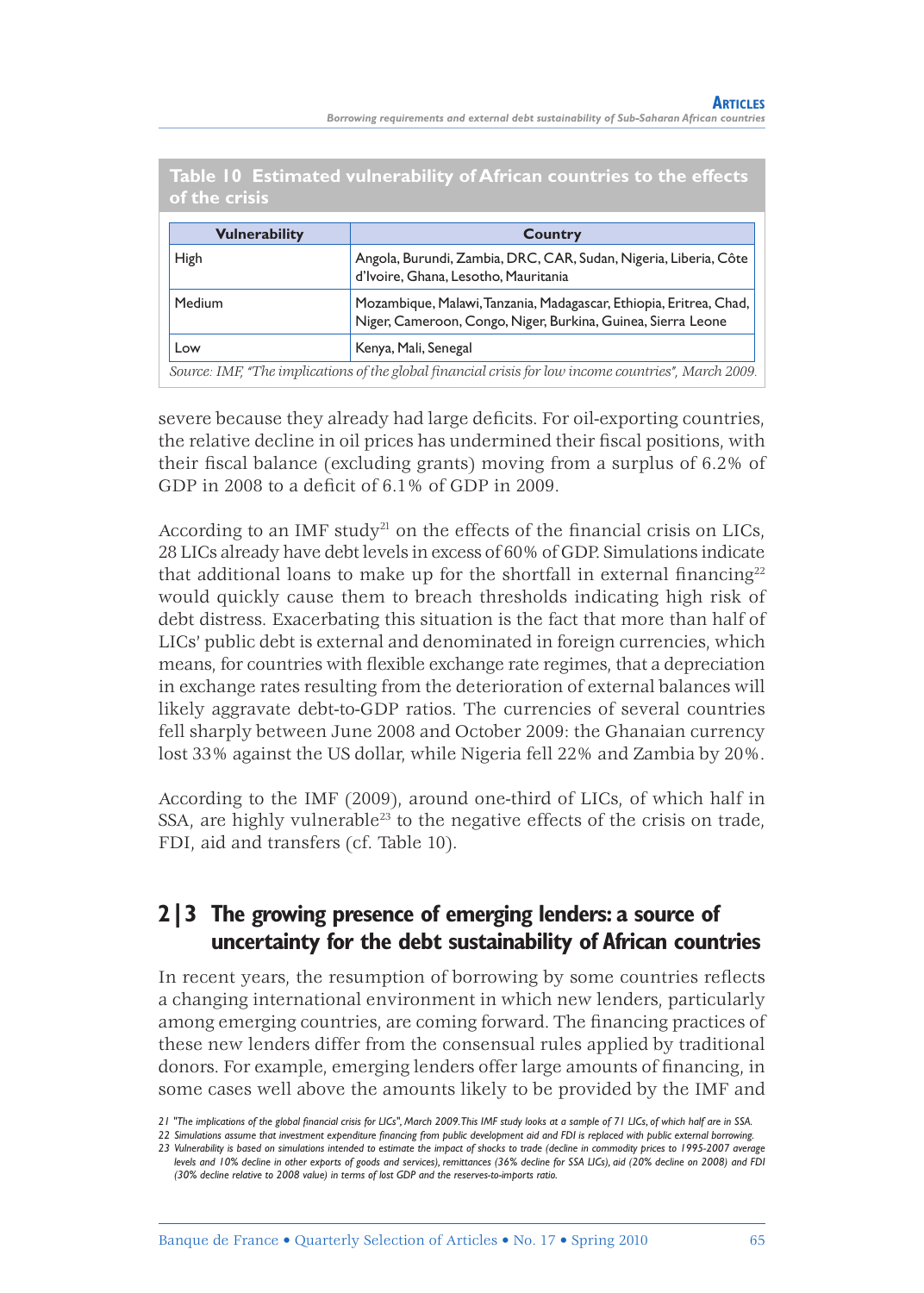| of the crisis        |                                                                                                                                    |
|----------------------|------------------------------------------------------------------------------------------------------------------------------------|
| <b>Vulnerability</b> | Country                                                                                                                            |
| High                 | Angola, Burundi, Zambia, DRC, CAR, Sudan, Nigeria, Liberia, Côte<br>d'Ivoire, Ghana, Lesotho, Mauritania                           |
| Medium               | Mozambique, Malawi, Tanzania, Madagascar, Ethiopia, Eritrea, Chad,<br>Niger, Cameroon, Congo, Niger, Burkina, Guinea, Sierra Leone |
| Low                  | Kenya, Mali, Senegal                                                                                                               |
|                      | Source: IMF, "The implications of the global financial crisis for low income countries", March 2009.                               |

**Table 10 Estimated vulnerability of African countries to the effects** 

severe because they already had large deficits. For oil-exporting countries, the relative decline in oil prices has undermined their fiscal positions, with their fiscal balance (excluding grants) moving from a surplus of 6.2% of GDP in 2008 to a deficit of  $6.1\%$  of GDP in 2009.

According to an IMF study<sup>21</sup> on the effects of the financial crisis on LICs, 28 LICs already have debt levels in excess of 60% of GDP. Simulations indicate that additional loans to make up for the shortfall in external financing<sup>22</sup> would quickly cause them to breach thresholds indicating high risk of debt distress. Exacerbating this situation is the fact that more than half of LICs' public debt is external and denominated in foreign currencies, which means, for countries with flexible exchange rate regimes, that a depreciation in exchange rates resulting from the deterioration of external balances will likely aggravate debt-to-GDP ratios. The currencies of several countries fell sharply between June 2008 and October 2009: the Ghanaian currency lost 33% against the US dollar, while Nigeria fell 22% and Zambia by 20%.

According to the IMF (2009), around one-third of LICs, of which half in SSA, are highly vulnerable<sup>23</sup> to the negative effects of the crisis on trade, FDI, aid and transfers (cf. Table 10).

## **2|3 The growing presence of emerging lenders: a source of uncertainty for the debt sustainability of African countries**

In recent years, the resumption of borrowing by some countries reflects a changing international environment in which new lenders, particularly among emerging countries, are coming forward. The financing practices of these new lenders differ from the consensual rules applied by traditional donors. For example, emerging lenders offer large amounts of financing, in some cases well above the amounts likely to be provided by the IMF and

<sup>21 &</sup>quot;The implications of the global financial crisis for LICs", March 2009. This IMF study looks at a sample of 71 LICs, of which half are in SSA.

*<sup>22</sup> Simulations assume that investment expenditure fi nancing from public development aid and FDI is replaced with public external borrowing.*

*<sup>23</sup> Vulnerability is based on simulations intended to estimate the impact of shocks to trade (decline in commodity prices to 1995-2007 average levels and 10% decline in other exports of goods and services), remittances (36% decline for SSA LICs), aid (20% decline on 2008) and FDI (30% decline relative to 2008 value) in terms of lost GDP and the reserves-to-imports ratio.*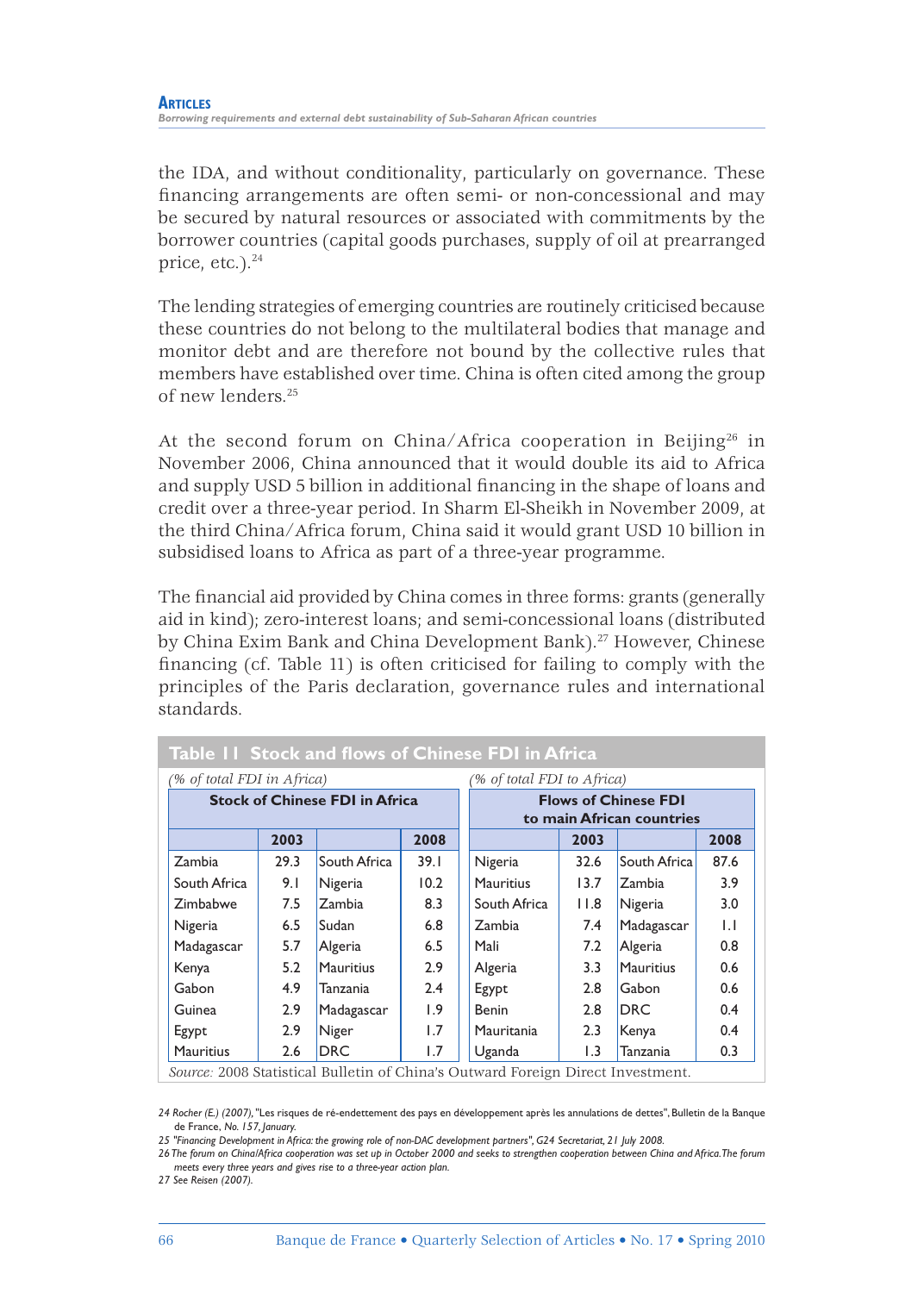the IDA, and without conditionality, particularly on governance. These financing arrangements are often semi- or non-concessional and may be secured by natural resources or associated with commitments by the borrower countries (capital goods purchases, supply of oil at prearranged price, etc.). $24$ 

The lending strategies of emerging countries are routinely criticised because these countries do not belong to the multilateral bodies that manage and monitor debt and are therefore not bound by the collective rules that members have established over time. China is often cited among the group of new lenders.25

At the second forum on China/Africa cooperation in Beijing<sup>26</sup> in November 2006, China announced that it would double its aid to Africa and supply USD 5 billion in additional financing in the shape of loans and credit over a three-year period. In Sharm El-Sheikh in November 2009, at the third China/Africa forum, China said it would grant USD 10 billion in subsidised loans to Africa as part of a three-year programme.

The financial aid provided by China comes in three forms: grants (generally aid in kind); zero-interest loans; and semi-concessional loans (distributed by China Exim Bank and China Development Bank).27 However, Chinese financing (cf. Table 11) is often criticised for failing to comply with the principles of the Paris declaration, governance rules and international standards.

| Table 11 Stock and flows of Chinese FDI in Africa                               |      |                  |                            |                                                          |      |                  |      |  |
|---------------------------------------------------------------------------------|------|------------------|----------------------------|----------------------------------------------------------|------|------------------|------|--|
| (% of total FDI in Africa)                                                      |      |                  | (% of total FDI to Africa) |                                                          |      |                  |      |  |
| <b>Stock of Chinese FDI in Africa</b>                                           |      |                  |                            | <b>Flows of Chinese FDI</b><br>to main African countries |      |                  |      |  |
|                                                                                 | 2003 |                  | 2008                       |                                                          | 2003 |                  | 2008 |  |
| Zambia                                                                          | 29.3 | South Africa     | 39.1                       | Nigeria                                                  | 32.6 | South Africa     | 87.6 |  |
| South Africa                                                                    | 9.1  | Nigeria          | 10.2                       | <b>Mauritius</b>                                         | 13.7 | Zambia           | 3.9  |  |
| Zimbabwe                                                                        | 7.5  | Zambia           | 8.3                        | South Africa                                             | 11.8 | Nigeria          | 3.0  |  |
| Nigeria                                                                         | 6.5  | Sudan            | 6.8                        | Zambia                                                   | 7.4  | Madagascar       | IJ   |  |
| Madagascar                                                                      | 5.7  | Algeria          | 6.5                        | Mali                                                     | 7.2  | Algeria          | 0.8  |  |
| Kenya                                                                           | 5.2  | <b>Mauritius</b> | 2.9                        | Algeria                                                  | 3.3  | <b>Mauritius</b> | 0.6  |  |
| Gabon                                                                           | 4.9  | Tanzania         | 2.4                        | Egypt                                                    | 2.8  | Gabon            | 0.6  |  |
| Guinea                                                                          | 2.9  | Madagascar       | 1.9                        | Benin                                                    | 2.8  | <b>DRC</b>       | 0.4  |  |
| Egypt                                                                           | 2.9  | Niger            | 1.7                        | Mauritania                                               | 2.3  | Kenya            | 0.4  |  |
| <b>Mauritius</b>                                                                | 2.6  | <b>DRC</b>       | 1.7                        | Uganda                                                   | 1.3  | Tanzania         | 0.3  |  |
| Source: 2008 Statistical Bulletin of China's Outward Foreign Direct Investment. |      |                  |                            |                                                          |      |                  |      |  |

*24 Rocher (E.) (2007),* "Les risques de ré-endettement des pays en développement après les annulations de dettes", Bulletin de la Banque de France, *No. 157, January.*

*25 "Financing Development in Africa: the growing role of non-DAC development partners", G24 Secretariat, 21 July 2008.*

*26 The forum on China/Africa cooperation was set up in October 2000 and seeks to strengthen cooperation between China and Africa. The forum meets every three years and gives rise to a three-year action plan.*

*27 See Reisen (2007).*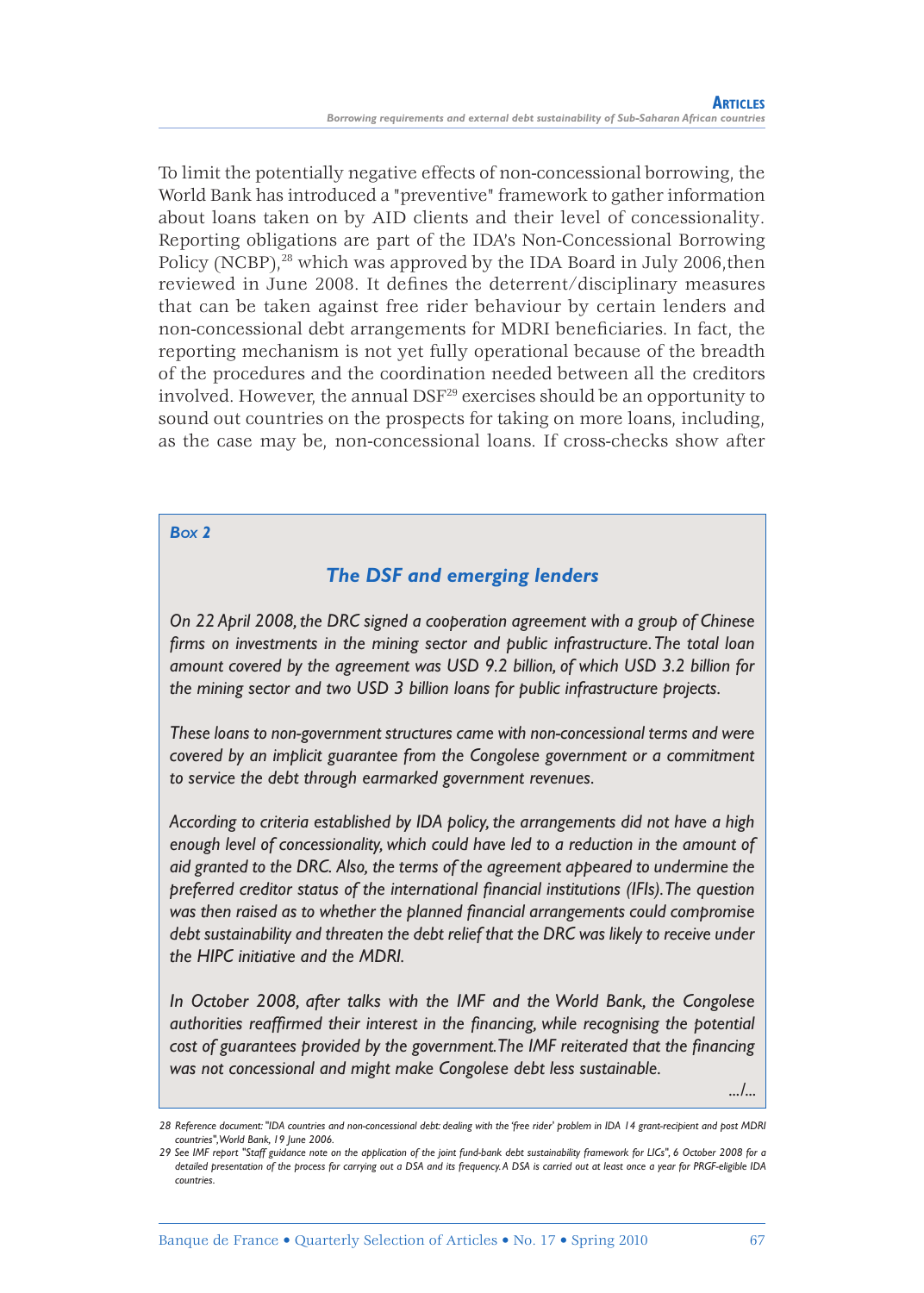To limit the potentially negative effects of non-concessional borrowing, the World Bank has introduced a "preventive" framework to gather information about loans taken on by AID clients and their level of concessionality. Reporting obligations are part of the IDA's Non-Concessional Borrowing Policy (NCBP), $^{28}$  which was approved by the IDA Board in July 2006, then reviewed in June 2008. It defines the deterrent/disciplinary measures that can be taken against free rider behaviour by certain lenders and non-concessional debt arrangements for MDRI beneficiaries. In fact, the reporting mechanism is not yet fully operational because of the breadth of the procedures and the coordination needed between all the creditors involved. However, the annual DSF<sup>29</sup> exercises should be an opportunity to sound out countries on the prospects for taking on more loans, including, as the case may be, non-concessional loans. If cross-checks show after

#### *BOX 2*

#### *The DSF and emerging lenders*

*On 22 April 2008, the DRC signed a cooperation agreement with a group of Chinese*  firms on investments in the mining sector and public infrastructure. The total loan *amount covered by the agreement was USD 9.2 billion, of which USD 3.2 billion for the mining sector and two USD 3 billion loans for public infrastructure projects.*

*These loans to non-government structures came with non-concessional terms and were covered by an implicit guarantee from the Congolese government or a commitment to service the debt through earmarked government revenues.*

*According to criteria established by IDA policy, the arrangements did not have a high enough level of concessionality, which could have led to a reduction in the amount of aid granted to the DRC. Also, the terms of the agreement appeared to undermine the preferred creditor status of the international financial institutions (IFIs). The question* was then raised as to whether the planned financial arrangements could compromise *debt sustainability and threaten the debt relief that the DRC was likely to receive under the HIPC initiative and the MDRI.*

*In October 2008, after talks with the IMF and the World Bank, the Congolese authorities reaffirmed their interest in the financing, while recognising the potential* cost of guarantees provided by the government. The IMF reiterated that the financing *was not concessional and might make Congolese debt less sustainable.*

*.../...*

*<sup>28</sup> Reference document: "IDA countries and non-concessional debt: dealing with the 'free rider' problem in IDA 14 grant-recipient and post MDRI countries", World Bank, 19 June 2006.*

*<sup>29</sup> See IMF report "Staff guidance note on the application of the joint fund-bank debt sustainability framework for LICs", 6 October 2008 for a detailed presentation of the process for carrying out a DSA and its frequency. A DSA is carried out at least once a year for PRGF-eligible IDA countries.*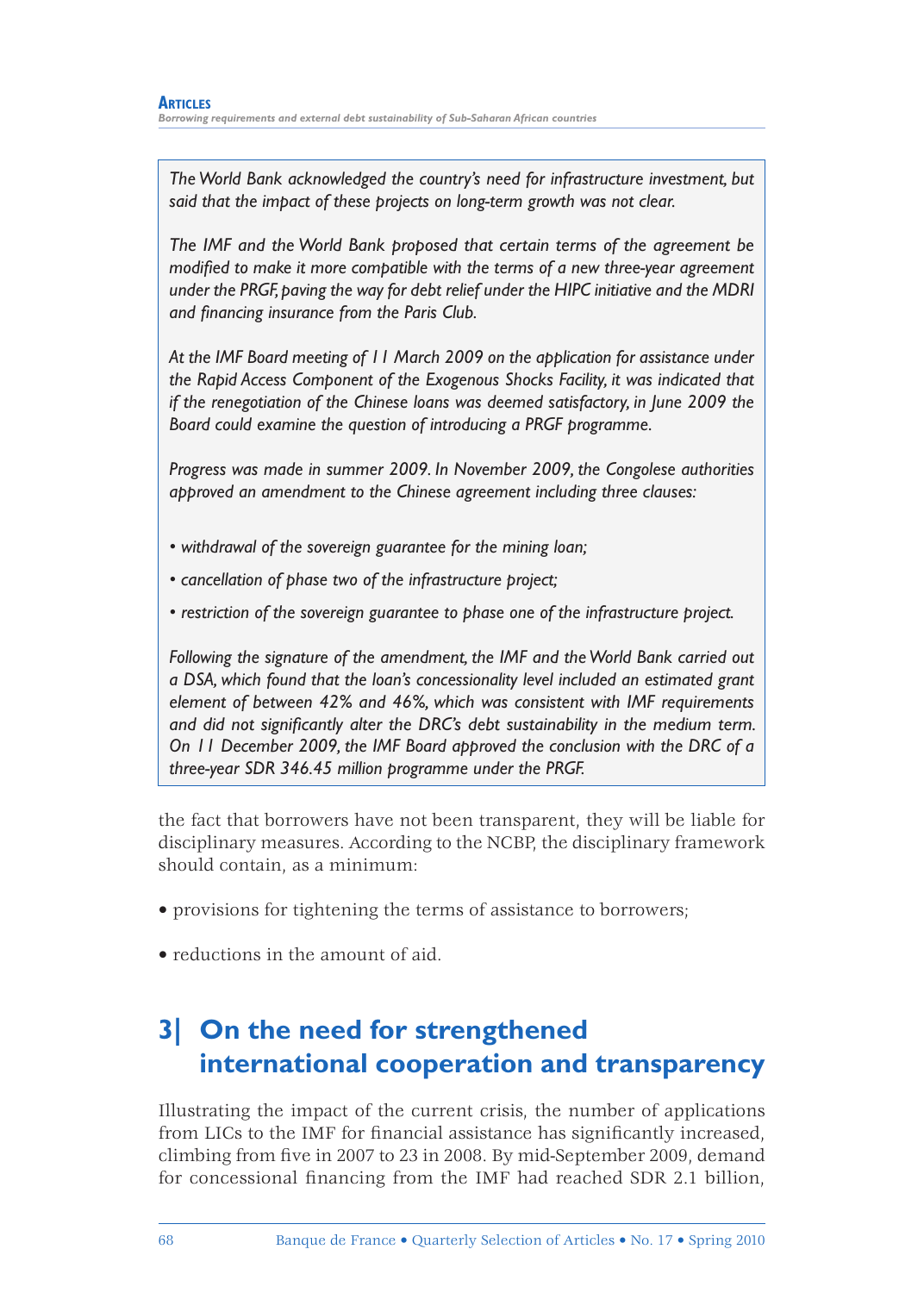*The World Bank acknowledged the country's need for infrastructure investment, but said that the impact of these projects on long-term growth was not clear.*

*The IMF and the World Bank proposed that certain terms of the agreement be modified to make it more compatible with the terms of a new three-year agreement under the PRGF, paving the way for debt relief under the HIPC initiative and the MDRI*  and financing insurance from the Paris Club.

*At the IMF Board meeting of 11 March 2009 on the application for assistance under the Rapid Access Component of the Exogenous Shocks Facility, it was indicated that if the renegotiation of the Chinese loans was deemed satisfactory, in June 2009 the Board could examine the question of introducing a PRGF programme.*

*Progress was made in summer 2009. In November 2009, the Congolese authorities approved an amendment to the Chinese agreement including three clauses:*

- *withdrawal of the sovereign guarantee for the mining loan;*
- *cancellation of phase two of the infrastructure project;*
- *restriction of the sovereign guarantee to phase one of the infrastructure project.*

*Following the signature of the amendment, the IMF and the World Bank carried out a DSA, which found that the loan's concessionality level included an estimated grant element of between 42% and 46%, which was consistent with IMF requirements*  and did not significantly alter the DRC's debt sustainability in the medium term. *On 11 December 2009, the IMF Board approved the conclusion with the DRC of a three-year SDR 346.45 million programme under the PRGF.*

the fact that borrowers have not been transparent, they will be liable for disciplinary measures. According to the NCBP, the disciplinary framework should contain, as a minimum:

- provisions for tightening the terms of assistance to borrowers;
- reductions in the amount of aid.

# **3| On the need for strengthened international cooperation and transparency**

Illustrating the impact of the current crisis, the number of applications from LICs to the IMF for financial assistance has significantly increased, climbing from five in 2007 to 23 in 2008. By mid-September 2009, demand for concessional financing from the IMF had reached SDR 2.1 billion,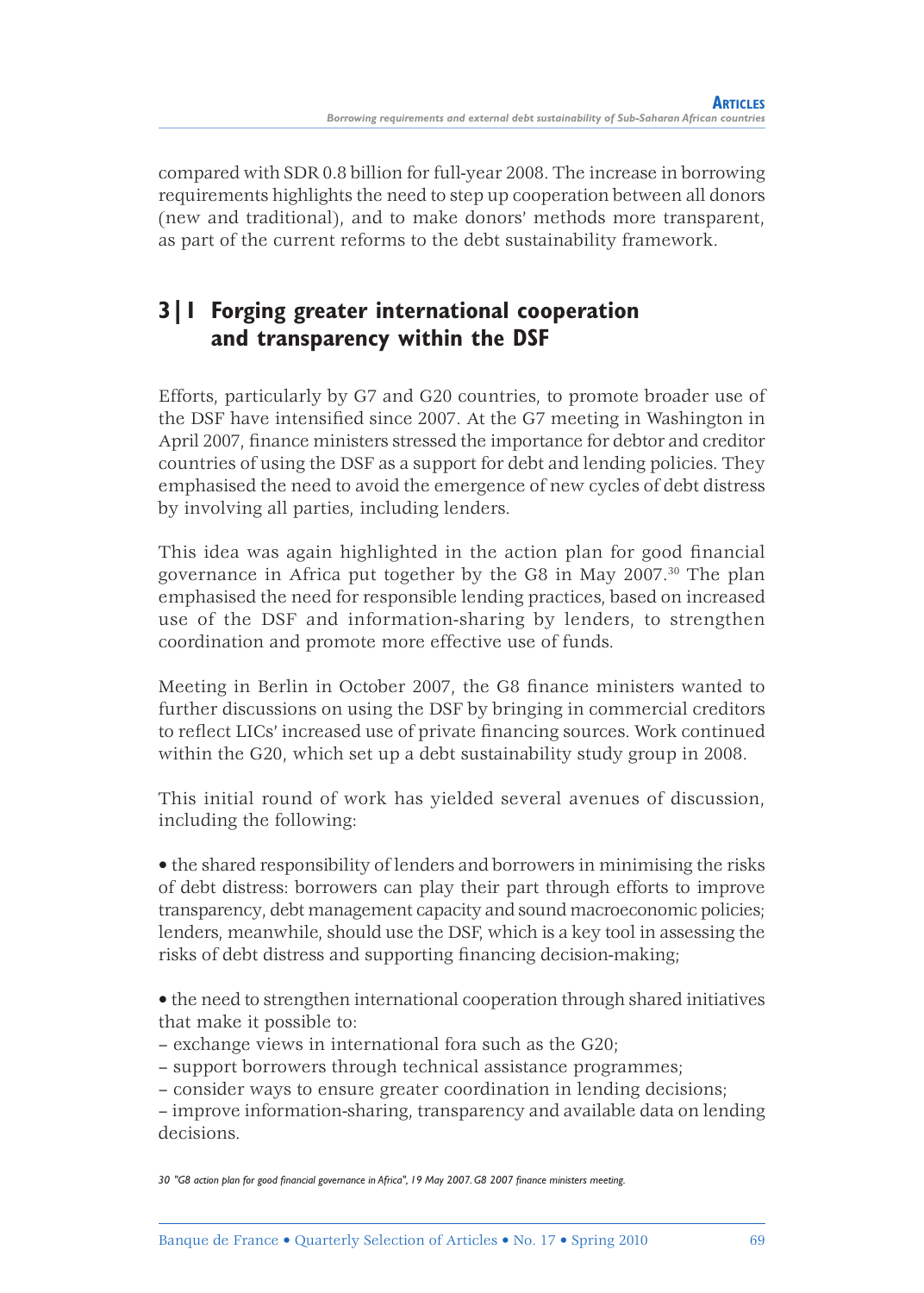compared with SDR 0.8 billion for full-year 2008. The increase in borrowing requirements highlights the need to step up cooperation between all donors (new and traditional), and to make donors' methods more transparent, as part of the current reforms to the debt sustainability framework.

# **3|1 Forging greater international cooperation and transparency within the DSF**

Efforts, particularly by G7 and G20 countries, to promote broader use of the DSF have intensified since 2007. At the G7 meeting in Washington in April 2007, finance ministers stressed the importance for debtor and creditor countries of using the DSF as a support for debt and lending policies. They emphasised the need to avoid the emergence of new cycles of debt distress by involving all parties, including lenders.

This idea was again highlighted in the action plan for good financial governance in Africa put together by the G8 in May 2007.30 The plan emphasised the need for responsible lending practices, based on increased use of the DSF and information-sharing by lenders, to strengthen coordination and promote more effective use of funds.

Meeting in Berlin in October 2007, the G8 finance ministers wanted to further discussions on using the DSF by bringing in commercial creditors to reflect LICs' increased use of private financing sources. Work continued within the G20, which set up a debt sustainability study group in 2008.

This initial round of work has yielded several avenues of discussion, including the following:

• the shared responsibility of lenders and borrowers in minimising the risks of debt distress: borrowers can play their part through efforts to improve transparency, debt management capacity and sound macroeconomic policies; lenders, meanwhile, should use the DSF, which is a key tool in assessing the risks of debt distress and supporting financing decision-making;

• the need to strengthen international cooperation through shared initiatives that make it possible to:

- exchange views in international fora such as the G20;
- support borrowers through technical assistance programmes;
- consider ways to ensure greater coordination in lending decisions;

– improve information-sharing, transparency and available data on lending decisions.

30 "G8 action plan for good financial governance in Africa", 19 May 2007. G8 2007 finance ministers meeting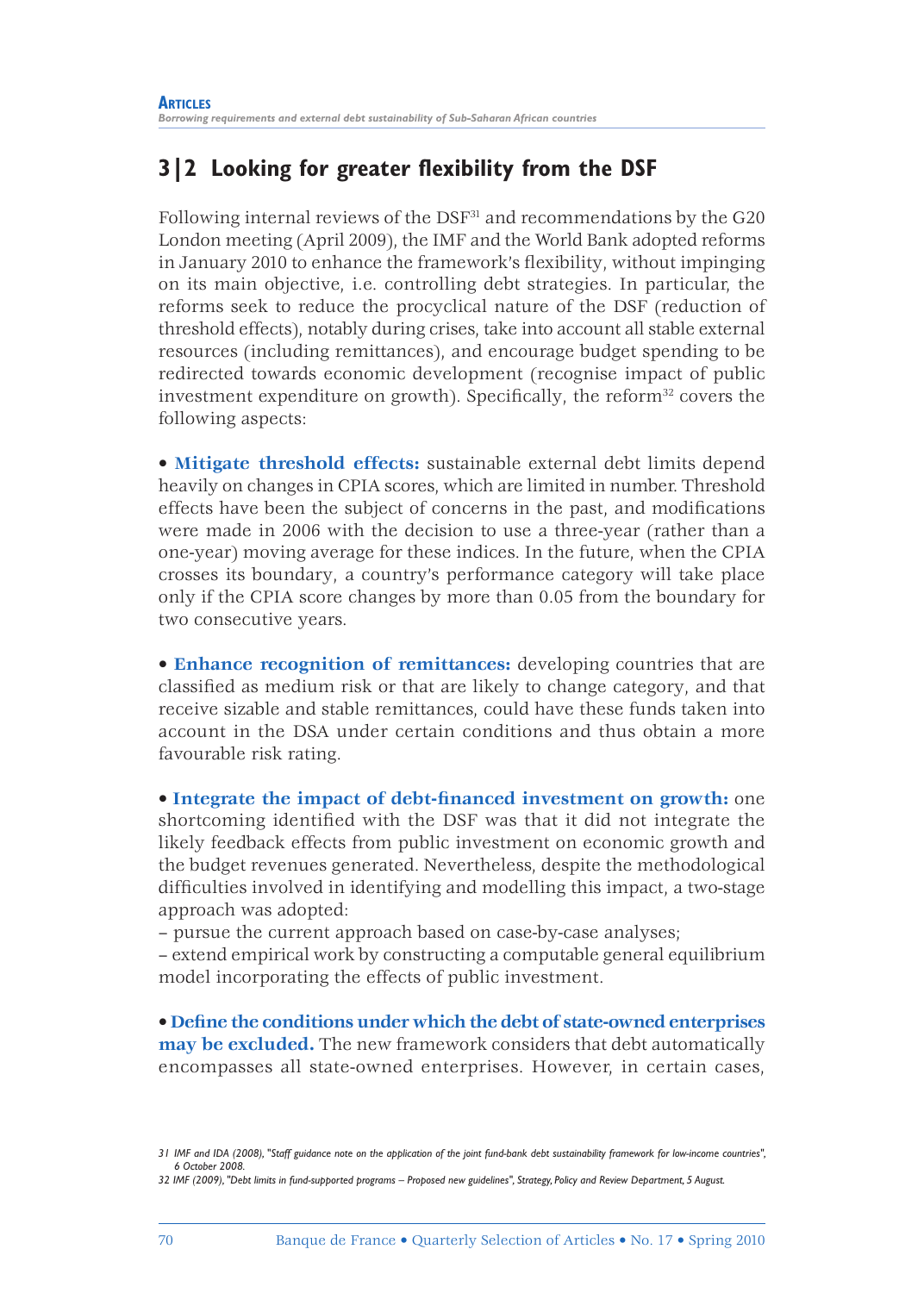# **3|2 Looking for greater flexibility from the DSF**

Following internal reviews of the DSF<sup>31</sup> and recommendations by the G20 London meeting (April 2009), the IMF and the World Bank adopted reforms in January 2010 to enhance the framework's flexibility, without impinging on its main objective, i.e. controlling debt strategies. In particular, the reforms seek to reduce the procyclical nature of the DSF (reduction of threshold effects), notably during crises, take into account all stable external resources (including remittances), and encourage budget spending to be redirected towards economic development (recognise impact of public investment expenditure on growth). Specifically, the reform<sup>32</sup> covers the following aspects:

• **Mitigate threshold effects:** sustainable external debt limits depend heavily on changes in CPIA scores, which are limited in number. Threshold effects have been the subject of concerns in the past, and modifications were made in 2006 with the decision to use a three-year (rather than a one-year) moving average for these indices. In the future, when the CPIA crosses its boundary, a country's performance category will take place only if the CPIA score changes by more than 0.05 from the boundary for two consecutive years.

• **Enhance recognition of remittances:** developing countries that are classified as medium risk or that are likely to change category, and that receive sizable and stable remittances, could have these funds taken into account in the DSA under certain conditions and thus obtain a more favourable risk rating.

• **Integrate the impact of debt-financed investment on growth:** one shortcoming identified with the DSF was that it did not integrate the likely feedback effects from public investment on economic growth and the budget revenues generated. Nevertheless, despite the methodological difficulties involved in identifying and modelling this impact, a two-stage approach was adopted:

– pursue the current approach based on case-by-case analyses;

– extend empirical work by constructing a computable general equilibrium model incorporating the effects of public investment.

• Define the conditions under which the debt of state-owned enterprises **may be excluded.** The new framework considers that debt automatically encompasses all state-owned enterprises. However, in certain cases,

*<sup>31</sup> IMF and IDA (2008), "Staff guidance note on the application of the joint fund-bank debt sustainability framework for low-income countries", 6 October 2008.*

*<sup>32</sup> IMF (2009), "Debt limits in fund-supported programs – Proposed new guidelines", Strategy, Policy and Review Department, 5 August.*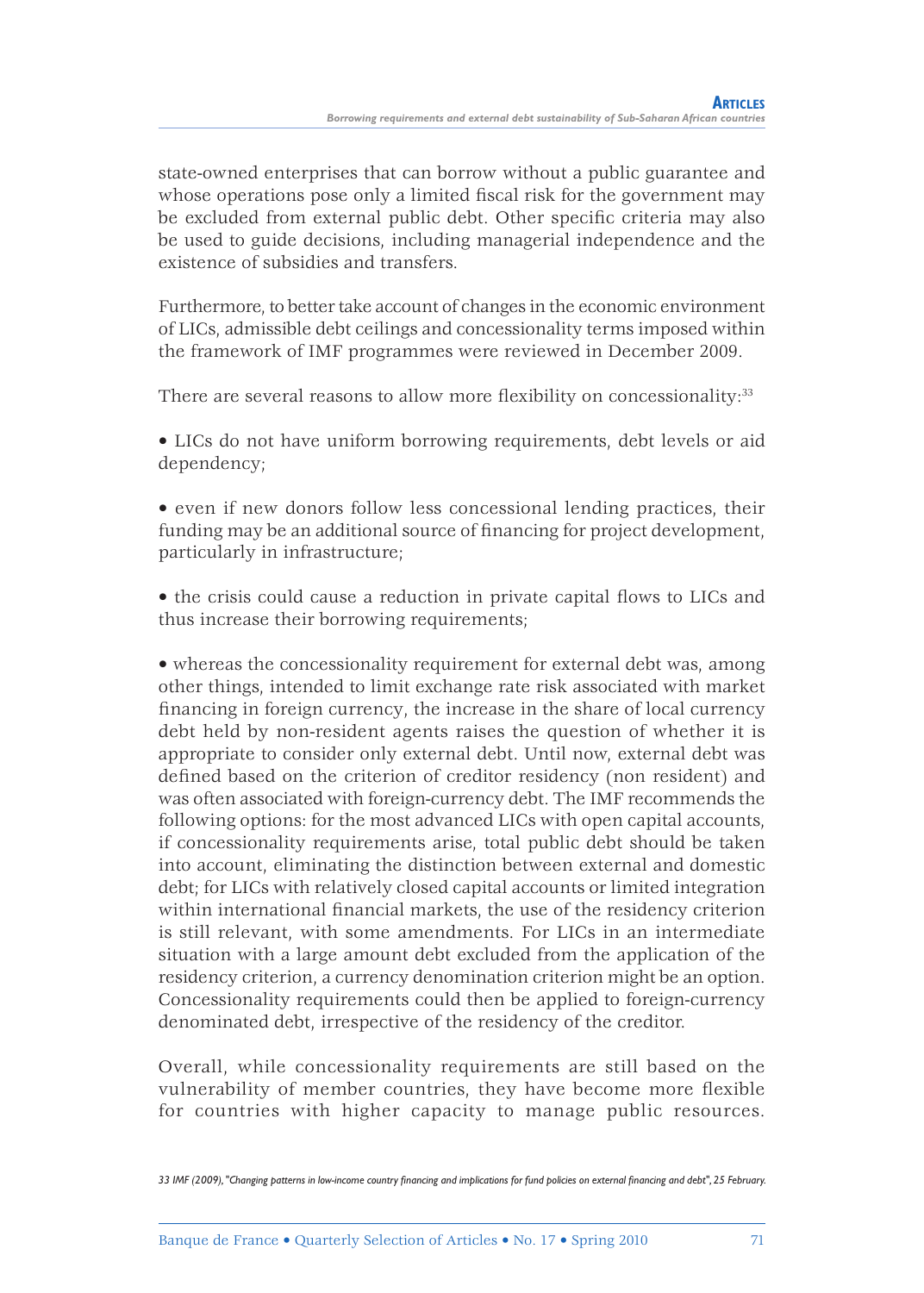state-owned enterprises that can borrow without a public guarantee and whose operations pose only a limited fiscal risk for the government may be excluded from external public debt. Other specific criteria may also be used to guide decisions, including managerial independence and the existence of subsidies and transfers.

Furthermore, to better take account of changes in the economic environment of LICs, admissible debt ceilings and concessionality terms imposed within the framework of IMF programmes were reviewed in December 2009.

There are several reasons to allow more flexibility on concessionality:<sup>33</sup>

• LICs do not have uniform borrowing requirements, debt levels or aid dependency;

• even if new donors follow less concessional lending practices, their funding may be an additional source of financing for project development, particularly in infrastructure;

• the crisis could cause a reduction in private capital flows to LICs and thus increase their borrowing requirements;

• whereas the concessionality requirement for external debt was, among other things, intended to limit exchange rate risk associated with market financing in foreign currency, the increase in the share of local currency debt held by non-resident agents raises the question of whether it is appropriate to consider only external debt. Until now, external debt was defined based on the criterion of creditor residency (non resident) and was often associated with foreign-currency debt. The IMF recommends the following options: for the most advanced LICs with open capital accounts, if concessionality requirements arise, total public debt should be taken into account, eliminating the distinction between external and domestic debt; for LICs with relatively closed capital accounts or limited integration within international financial markets, the use of the residency criterion is still relevant, with some amendments. For LICs in an intermediate situation with a large amount debt excluded from the application of the residency criterion, a currency denomination criterion might be an option. Concessionality requirements could then be applied to foreign-currency denominated debt, irrespective of the residency of the creditor.

Overall, while concessionality requirements are still based on the vulnerability of member countries, they have become more flexible for countries with higher capacity to manage public resources.

33 IMF (2009), "Changing patterns in low-income country financing and implications for fund policies on external financing and debt", 25 February.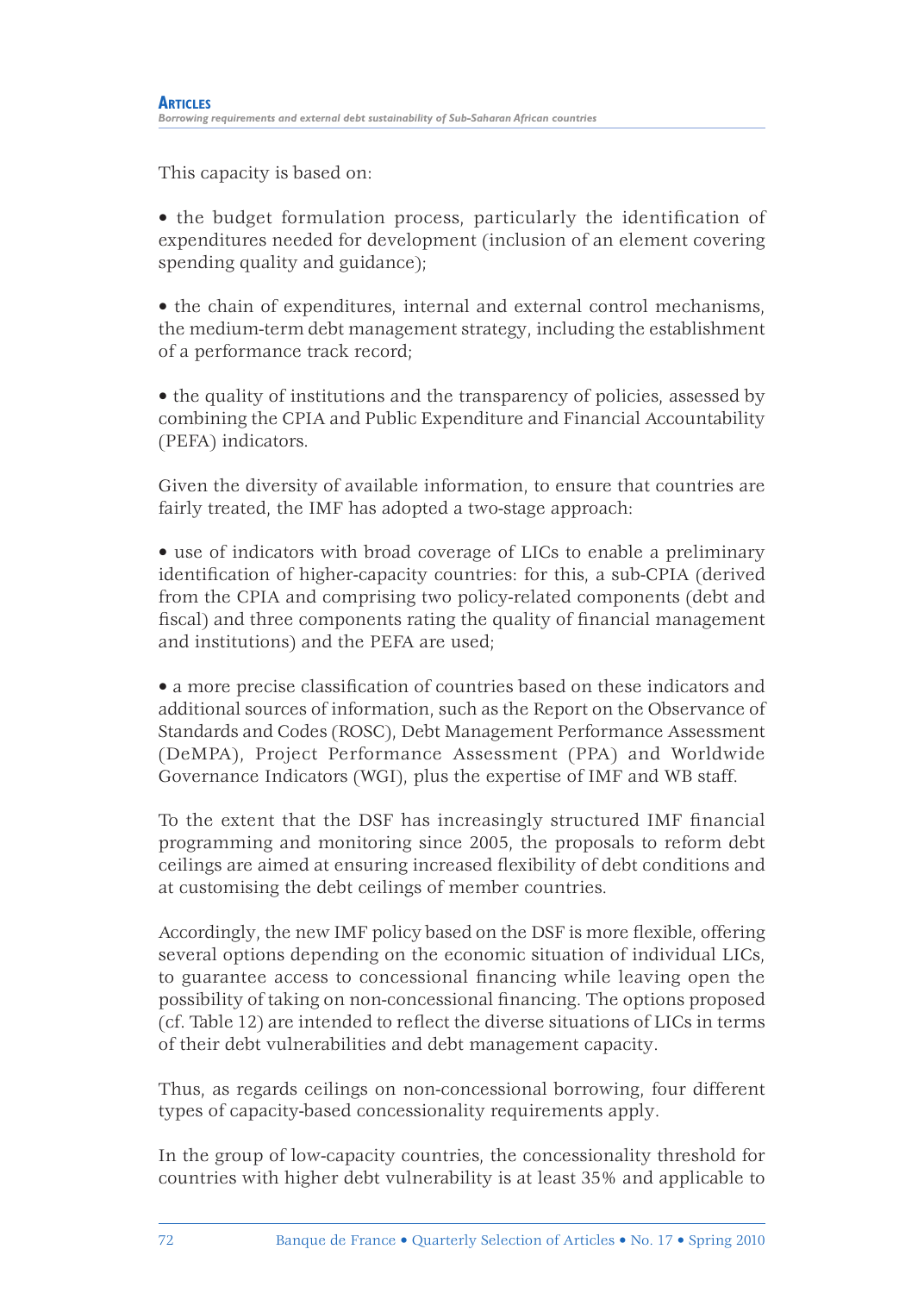This capacity is based on:

• the budget formulation process, particularly the identification of expenditures needed for development (inclusion of an element covering spending quality and guidance);

• the chain of expenditures, internal and external control mechanisms, the medium-term debt management strategy, including the establishment of a performance track record;

• the quality of institutions and the transparency of policies, assessed by combining the CPIA and Public Expenditure and Financial Accountability (PEFA) indicators.

Given the diversity of available information, to ensure that countries are fairly treated, the IMF has adopted a two-stage approach:

• use of indicators with broad coverage of LICs to enable a preliminary identification of higher-capacity countries: for this, a sub-CPIA (derived from the CPIA and comprising two policy-related components (debt and fiscal) and three components rating the quality of financial management and institutions) and the PEFA are used;

• a more precise classification of countries based on these indicators and additional sources of information, such as the Report on the Observance of Standards and Codes (ROSC), Debt Management Performance Assessment (DeMPA), Project Performance Assessment (PPA) and Worldwide Governance Indicators (WGI), plus the expertise of IMF and WB staff.

To the extent that the DSF has increasingly structured IMF financial programming and monitoring since 2005, the proposals to reform debt ceilings are aimed at ensuring increased flexibility of debt conditions and at customising the debt ceilings of member countries.

Accordingly, the new IMF policy based on the DSF is more flexible, offering several options depending on the economic situation of individual LICs, to guarantee access to concessional financing while leaving open the possibility of taking on non-concessional financing. The options proposed  $(cf. Table 12)$  are intended to reflect the diverse situations of LICs in terms of their debt vulnerabilities and debt management capacity.

Thus, as regards ceilings on non-concessional borrowing, four different types of capacity-based concessionality requirements apply.

In the group of low-capacity countries, the concessionality threshold for countries with higher debt vulnerability is at least 35% and applicable to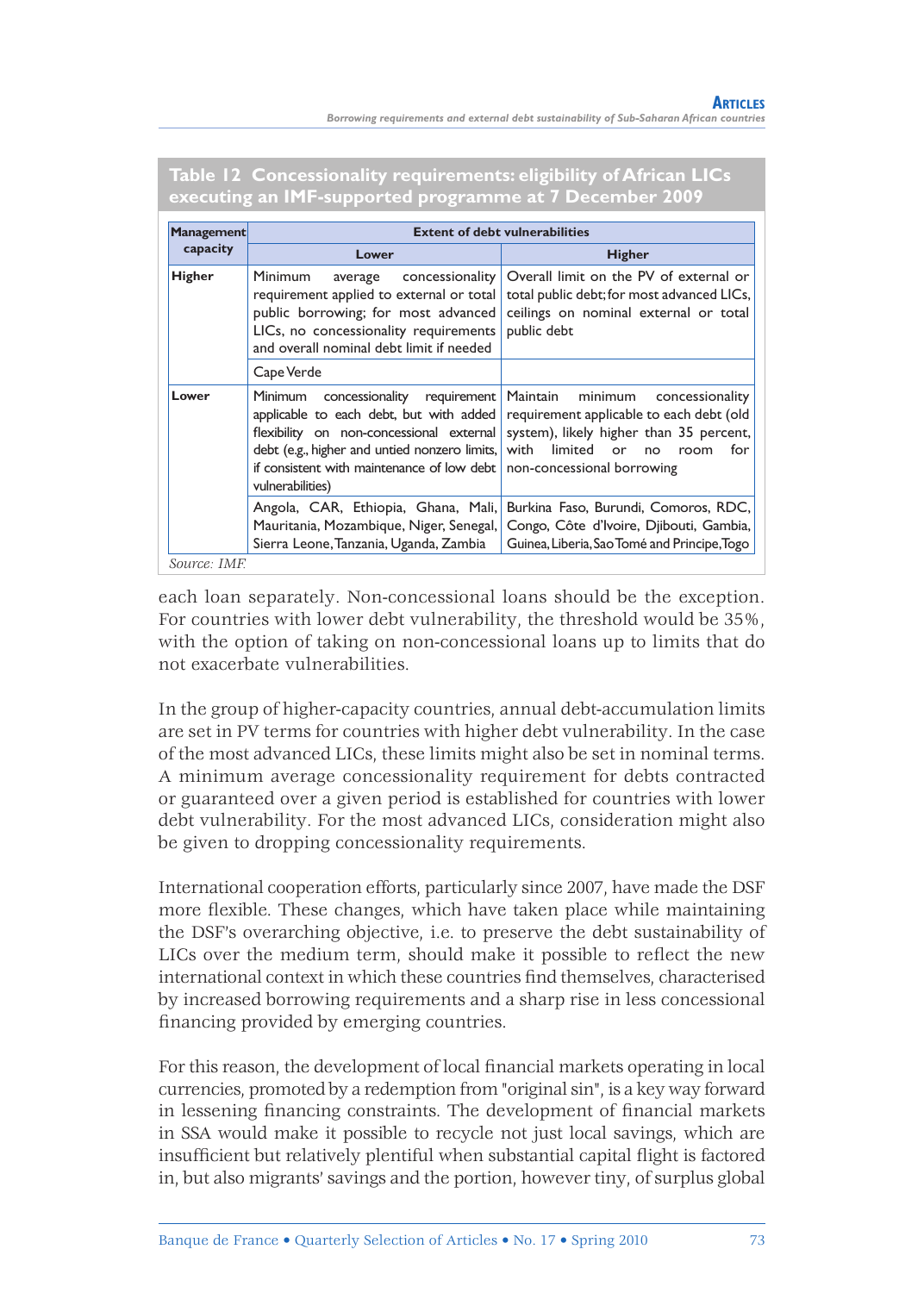*Borrowing requirements and external debt sustainability of Sub-Saharan African countries*

| <b>Management</b> | <b>Extent of debt vulnerabilities</b>                                                                                                                                                                                |                                                                                                                                                                                                                            |  |  |  |  |
|-------------------|----------------------------------------------------------------------------------------------------------------------------------------------------------------------------------------------------------------------|----------------------------------------------------------------------------------------------------------------------------------------------------------------------------------------------------------------------------|--|--|--|--|
| capacity          | Lower                                                                                                                                                                                                                | <b>Higher</b>                                                                                                                                                                                                              |  |  |  |  |
| Higher            | <b>Minimum</b><br>concessionality<br>average<br>requirement applied to external or total<br>public borrowing; for most advanced<br>LICs, no concessionality requirements<br>and overall nominal debt limit if needed | Overall limit on the PV of external or<br>total public debt; for most advanced LICs,<br>ceilings on nominal external or total<br>public debt                                                                               |  |  |  |  |
|                   | Cape Verde                                                                                                                                                                                                           |                                                                                                                                                                                                                            |  |  |  |  |
| Lower             | concessionality requirement Maintain<br>Minimum<br>debt (e.g., higher and untied nonzero limits, with limited<br>if consistent with maintenance of low debt   non-concessional borrowing<br>vulnerabilities)         | minimum<br>concessionality<br>applicable to each debt, but with added requirement applicable to each debt (old<br>flexibility on non-concessional external system), likely higher than 35 percent,<br>for<br>or no<br>room |  |  |  |  |
|                   | Angola, CAR, Ethiopia, Ghana, Mali,<br>Mauritania, Mozambique, Niger, Senegal,<br>Sierra Leone, Tanzania, Uganda, Zambia                                                                                             | Burkina Faso, Burundi, Comoros, RDC,<br>Congo, Côte d'Ivoire, Djibouti, Gambia,<br>Guinea, Liberia, Sao Tomé and Principe, Togo                                                                                            |  |  |  |  |
| Source: IMF.      |                                                                                                                                                                                                                      |                                                                                                                                                                                                                            |  |  |  |  |

**Table 12 Concessionality requirements: eligibility of African LICs executing an IMF-supported programme at 7 December 2009**

each loan separately. Non-concessional loans should be the exception. For countries with lower debt vulnerability, the threshold would be 35%, with the option of taking on non-concessional loans up to limits that do not exacerbate vulnerabilities.

In the group of higher-capacity countries, annual debt-accumulation limits are set in PV terms for countries with higher debt vulnerability. In the case of the most advanced LICs, these limits might also be set in nominal terms. A minimum average concessionality requirement for debts contracted or guaranteed over a given period is established for countries with lower debt vulnerability. For the most advanced LICs, consideration might also be given to dropping concessionality requirements.

International cooperation efforts, particularly since 2007, have made the DSF more flexible. These changes, which have taken place while maintaining the DSF's overarching objective, i.e. to preserve the debt sustainability of LICs over the medium term, should make it possible to reflect the new international context in which these countries find themselves, characterised by increased borrowing requirements and a sharp rise in less concessional financing provided by emerging countries.

For this reason, the development of local financial markets operating in local currencies, promoted by a redemption from "original sin", is a key way forward in lessening financing constraints. The development of financial markets in SSA would make it possible to recycle not just local savings, which are insufficient but relatively plentiful when substantial capital flight is factored in, but also migrants' savings and the portion, however tiny, of surplus global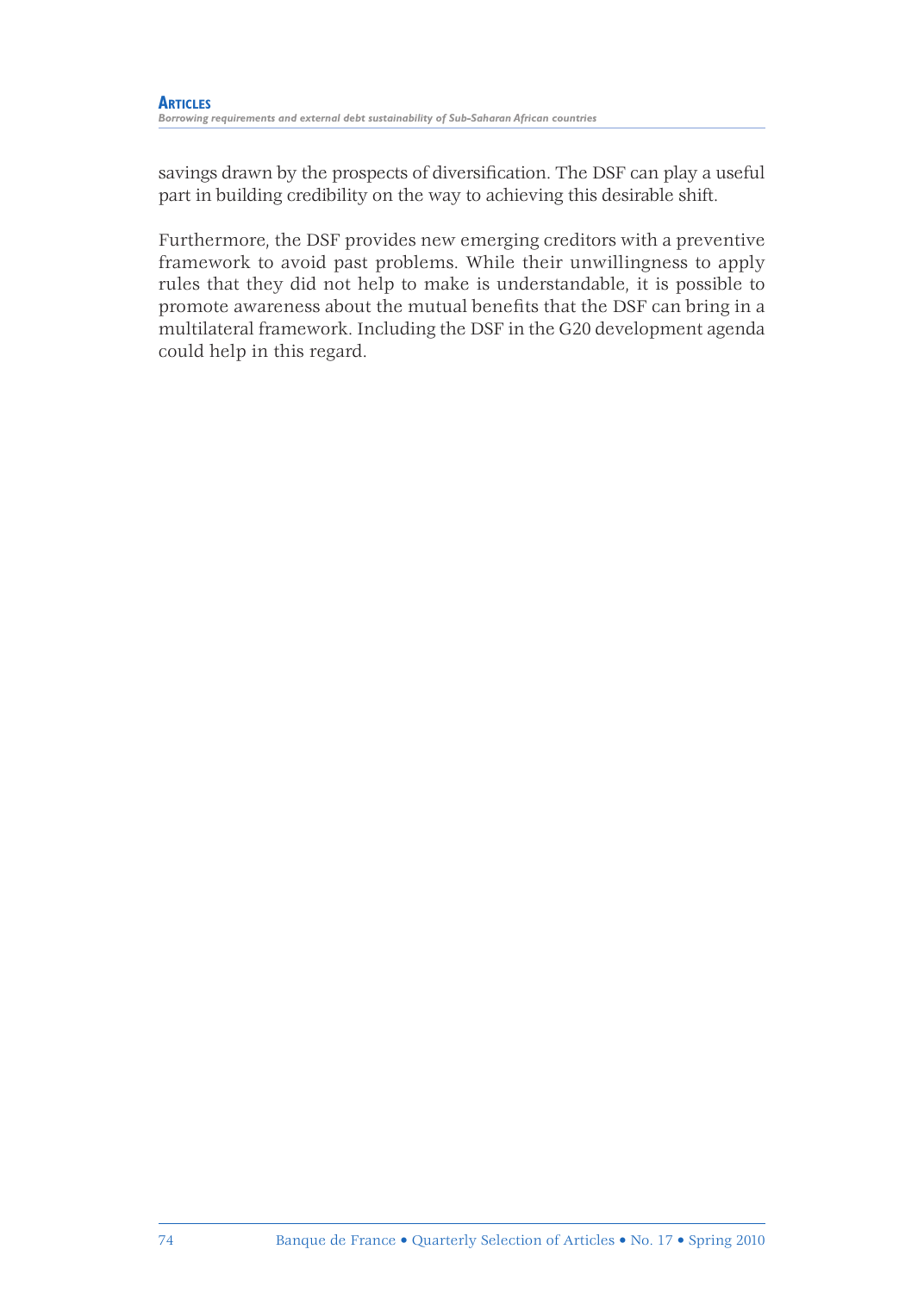savings drawn by the prospects of diversification. The DSF can play a useful part in building credibility on the way to achieving this desirable shift.

Furthermore, the DSF provides new emerging creditors with a preventive framework to avoid past problems. While their unwillingness to apply rules that they did not help to make is understandable, it is possible to promote awareness about the mutual benefits that the DSF can bring in a multilateral framework. Including the DSF in the G20 development agenda could help in this regard.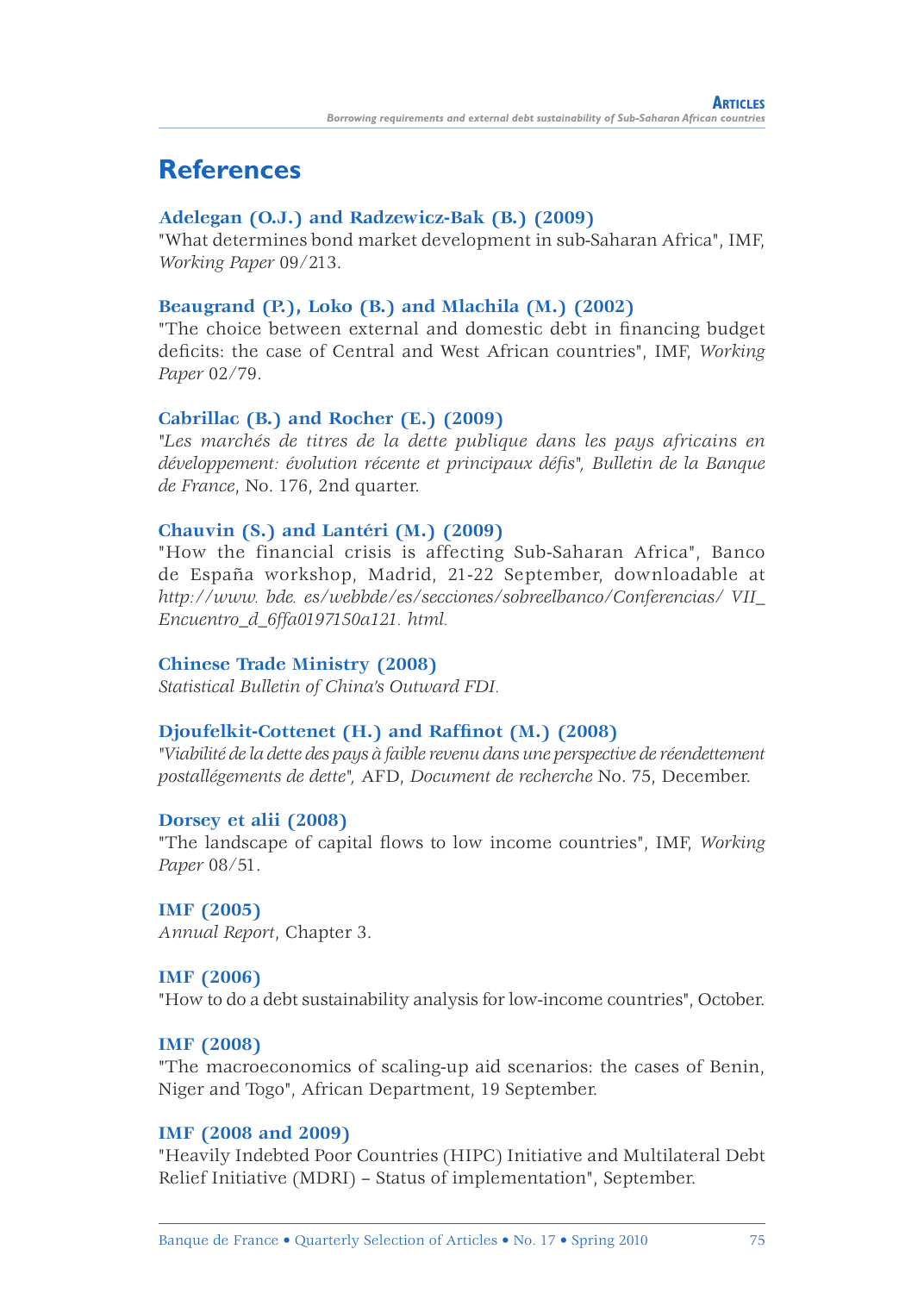# **References**

#### **Adelegan (O.J.) and Radzewicz-Bak (B.) (2009)**

"What determines bond market development in sub-Saharan Africa", IMF, *Working Paper* 09/213.

#### **Beaugrand (P.), Loko (B.) and Mlachila (M.) (2002)**

"The choice between external and domestic debt in financing budget defi cits: the case of Central and West African countries", IMF, *Working Paper* 02/79.

#### **Cabrillac (B.) and Rocher (E.) (2009)**

*"Les marchés de titres de la dette publique dans les pays africains en développement: évolution récente et principaux défi s", Bulletin de la Banque de France*, No. 176, 2nd quarter.

#### **Chauvin (S.) and Lantéri (M.) (2009)**

"How the financial crisis is affecting Sub-Saharan Africa", Banco de España workshop, Madrid, 21-22 September, downloadable at *http://www. bde. es/webbde/es/secciones/sobreelbanco/Conferencias/ VII\_ Encuentro\_d\_6ffa0197150a121. html.*

#### **Chinese Trade Ministry (2008)**

*Statistical Bulletin of China's Outward FDI.*

#### Djoufelkit-Cottenet (H.) and Raffinot (M.) (2008)

*"Viabilité de la dette des pays à faible revenu dans une perspective de réendettement postallégements de dette",* AFD, *Document de recherche* No. 75, December.

#### **Dorsey et alii (2008)**

"The landscape of capital flows to low income countries", IMF, *Working Paper* 08/51.

### **IMF (2005)**

*Annual Report*, Chapter 3.

#### **IMF (2006)**

"How to do a debt sustainability analysis for low-income countries", October.

#### **IMF (2008)**

"The macroeconomics of scaling-up aid scenarios: the cases of Benin, Niger and Togo", African Department, 19 September.

#### **IMF (2008 and 2009)**

"Heavily Indebted Poor Countries (HIPC) Initiative and Multilateral Debt Relief Initiative (MDRI) – Status of implementation", September.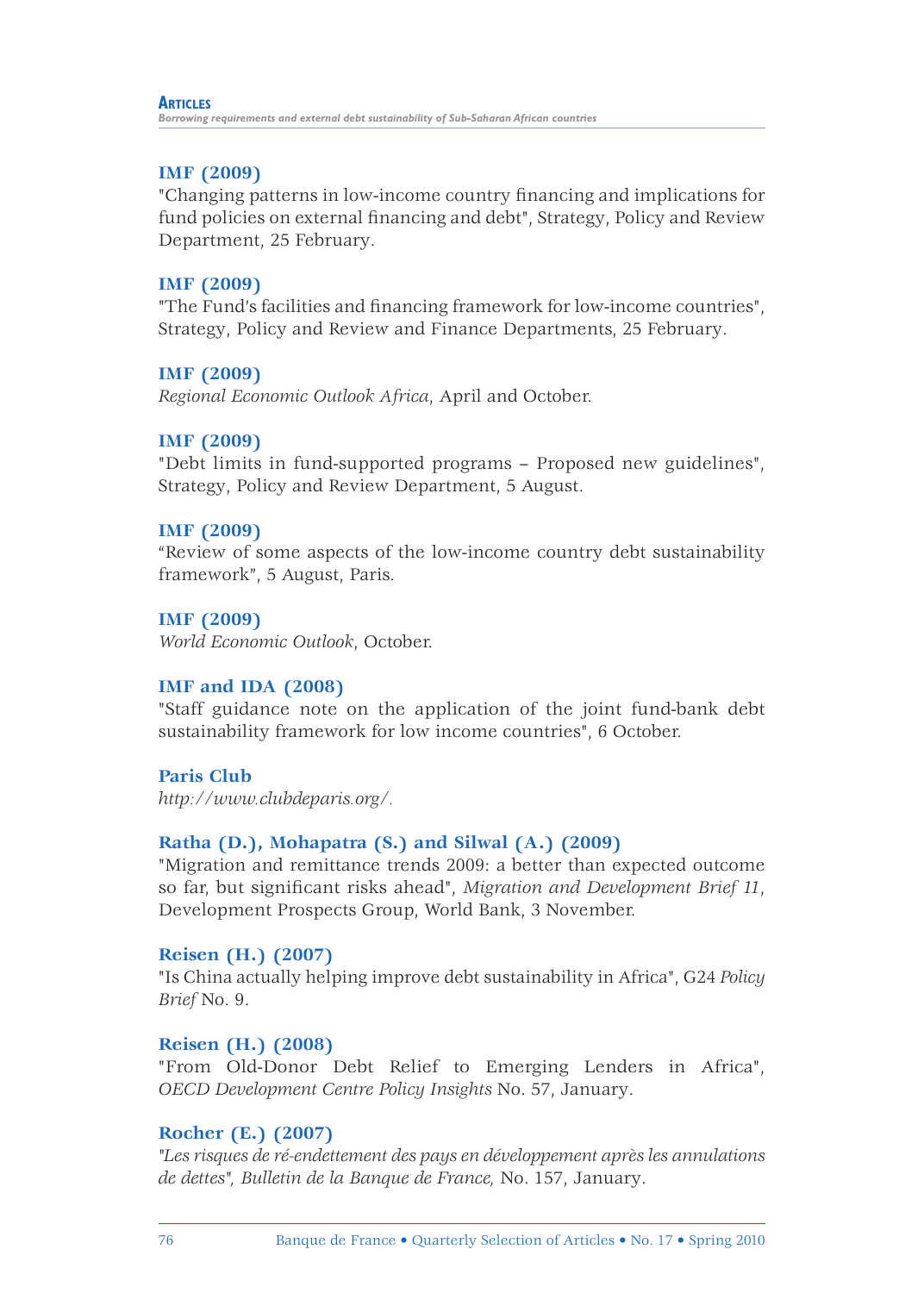#### **ARTICLES**

*Borrowing requirements and external debt sustainability of Sub-Saharan African countries*

### **IMF (2009)**

"Changing patterns in low-income country financing and implications for fund policies on external financing and debt", Strategy, Policy and Review Department, 25 February.

### **IMF (2009)**

"The Fund's facilities and financing framework for low-income countries", Strategy, Policy and Review and Finance Departments, 25 February.

### **IMF (2009)**

*Regional Economic Outlook Africa*, April and October.

### **IMF (2009)**

"Debt limits in fund-supported programs – Proposed new guidelines", Strategy, Policy and Review Department, 5 August.

### **IMF (2009)**

"Review of some aspects of the low-income country debt sustainability framework", 5 August, Paris.

### **IMF (2009)**

*World Economic Outlook*, October.

### **IMF and IDA (2008)**

"Staff guidance note on the application of the joint fund-bank debt sustainability framework for low income countries", 6 October.

**Paris Club** 

*http://www.clubdeparis.org/.*

## **Ratha (D.), Mohapatra (S.) and Silwal (A.) (2009)**

"Migration and remittance trends 2009: a better than expected outcome so far, but significant risks ahead", *Migration and Development Brief 11*, Development Prospects Group, World Bank, 3 November.

### **Reisen (H.) (2007)**

"Is China actually helping improve debt sustainability in Africa", G24 *Policy Brief* No. 9.

### **Reisen (H.) (2008)**

"From Old-Donor Debt Relief to Emerging Lenders in Africa", *OECD Development Centre Policy Insights* No. 57, January.

### **Rocher (E.) (2007)**

*"Les risques de ré-endettement des pays en développement après les annulations de dettes", Bulletin de la Banque de France,* No. 157, January.